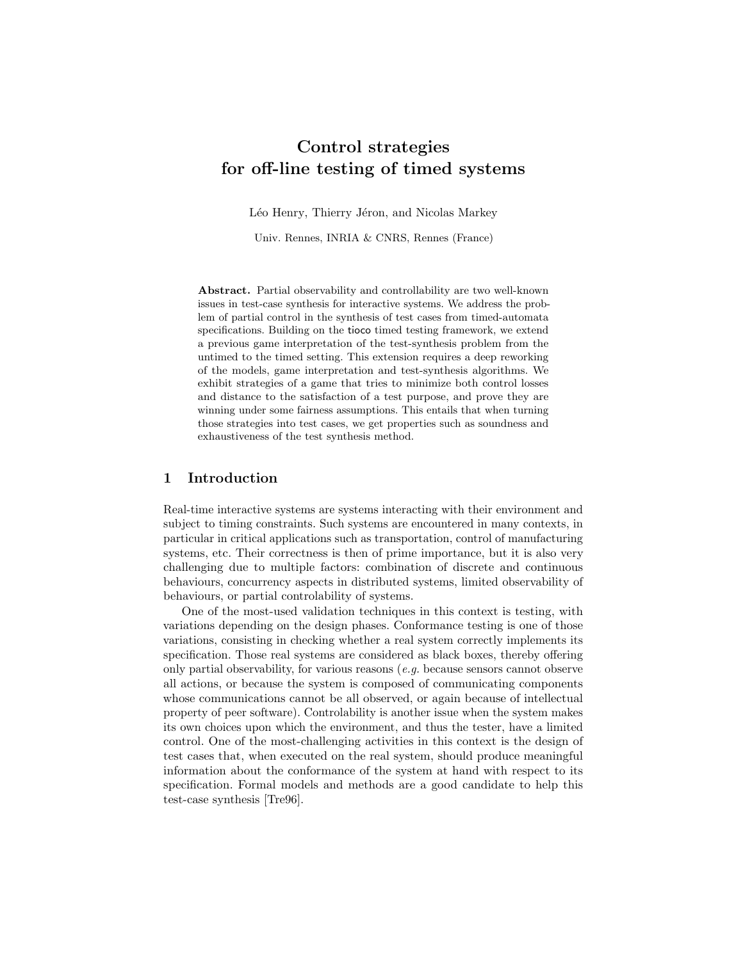# Control strategies for off-line testing of timed systems

Léo Henry, Thierry Jéron, and Nicolas Markey

Univ. Rennes, INRIA & CNRS, Rennes (France)

Abstract. Partial observability and controllability are two well-known issues in test-case synthesis for interactive systems. We address the problem of partial control in the synthesis of test cases from timed-automata specifications. Building on the tioco timed testing framework, we extend a previous game interpretation of the test-synthesis problem from the untimed to the timed setting. This extension requires a deep reworking of the models, game interpretation and test-synthesis algorithms. We exhibit strategies of a game that tries to minimize both control losses and distance to the satisfaction of a test purpose, and prove they are winning under some fairness assumptions. This entails that when turning those strategies into test cases, we get properties such as soundness and exhaustiveness of the test synthesis method.

### 1 Introduction

Real-time interactive systems are systems interacting with their environment and subject to timing constraints. Such systems are encountered in many contexts, in particular in critical applications such as transportation, control of manufacturing systems, etc. Their correctness is then of prime importance, but it is also very challenging due to multiple factors: combination of discrete and continuous behaviours, concurrency aspects in distributed systems, limited observability of behaviours, or partial controlability of systems.

One of the most-used validation techniques in this context is testing, with variations depending on the design phases. Conformance testing is one of those variations, consisting in checking whether a real system correctly implements its specification. Those real systems are considered as black boxes, thereby offering only partial observability, for various reasons (e.g. because sensors cannot observe all actions, or because the system is composed of communicating components whose communications cannot be all observed, or again because of intellectual property of peer software). Controlability is another issue when the system makes its own choices upon which the environment, and thus the tester, have a limited control. One of the most-challenging activities in this context is the design of test cases that, when executed on the real system, should produce meaningful information about the conformance of the system at hand with respect to its specification. Formal models and methods are a good candidate to help this test-case synthesis [Tre96].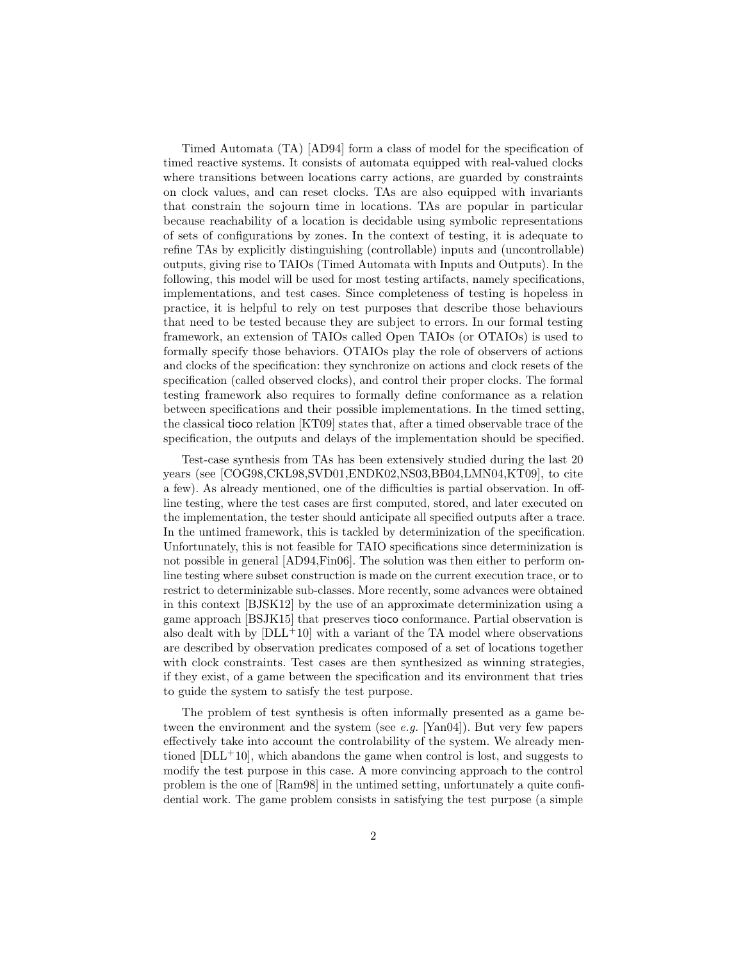Timed Automata (TA) [AD94] form a class of model for the specification of timed reactive systems. It consists of automata equipped with real-valued clocks where transitions between locations carry actions, are guarded by constraints on clock values, and can reset clocks. TAs are also equipped with invariants that constrain the sojourn time in locations. TAs are popular in particular because reachability of a location is decidable using symbolic representations of sets of configurations by zones. In the context of testing, it is adequate to refine TAs by explicitly distinguishing (controllable) inputs and (uncontrollable) outputs, giving rise to TAIOs (Timed Automata with Inputs and Outputs). In the following, this model will be used for most testing artifacts, namely specifications, implementations, and test cases. Since completeness of testing is hopeless in practice, it is helpful to rely on test purposes that describe those behaviours that need to be tested because they are subject to errors. In our formal testing framework, an extension of TAIOs called Open TAIOs (or OTAIOs) is used to formally specify those behaviors. OTAIOs play the role of observers of actions and clocks of the specification: they synchronize on actions and clock resets of the specification (called observed clocks), and control their proper clocks. The formal testing framework also requires to formally define conformance as a relation between specifications and their possible implementations. In the timed setting, the classical tioco relation [KT09] states that, after a timed observable trace of the specification, the outputs and delays of the implementation should be specified.

Test-case synthesis from TAs has been extensively studied during the last 20 years (see [COG98,CKL98,SVD01,ENDK02,NS03,BB04,LMN04,KT09], to cite a few). As already mentioned, one of the difficulties is partial observation. In offline testing, where the test cases are first computed, stored, and later executed on the implementation, the tester should anticipate all specified outputs after a trace. In the untimed framework, this is tackled by determinization of the specification. Unfortunately, this is not feasible for TAIO specifications since determinization is not possible in general [AD94,Fin06]. The solution was then either to perform online testing where subset construction is made on the current execution trace, or to restrict to determinizable sub-classes. More recently, some advances were obtained in this context [BJSK12] by the use of an approximate determinization using a game approach [BSJK15] that preserves tioco conformance. Partial observation is also dealt with by  $[DLL+10]$  with a variant of the TA model where observations are described by observation predicates composed of a set of locations together with clock constraints. Test cases are then synthesized as winning strategies, if they exist, of a game between the specification and its environment that tries to guide the system to satisfy the test purpose.

The problem of test synthesis is often informally presented as a game between the environment and the system (see  $e.g.$  [Yan04]). But very few papers effectively take into account the controlability of the system. We already mentioned  $[DL+10]$ , which abandons the game when control is lost, and suggests to modify the test purpose in this case. A more convincing approach to the control problem is the one of [Ram98] in the untimed setting, unfortunately a quite confidential work. The game problem consists in satisfying the test purpose (a simple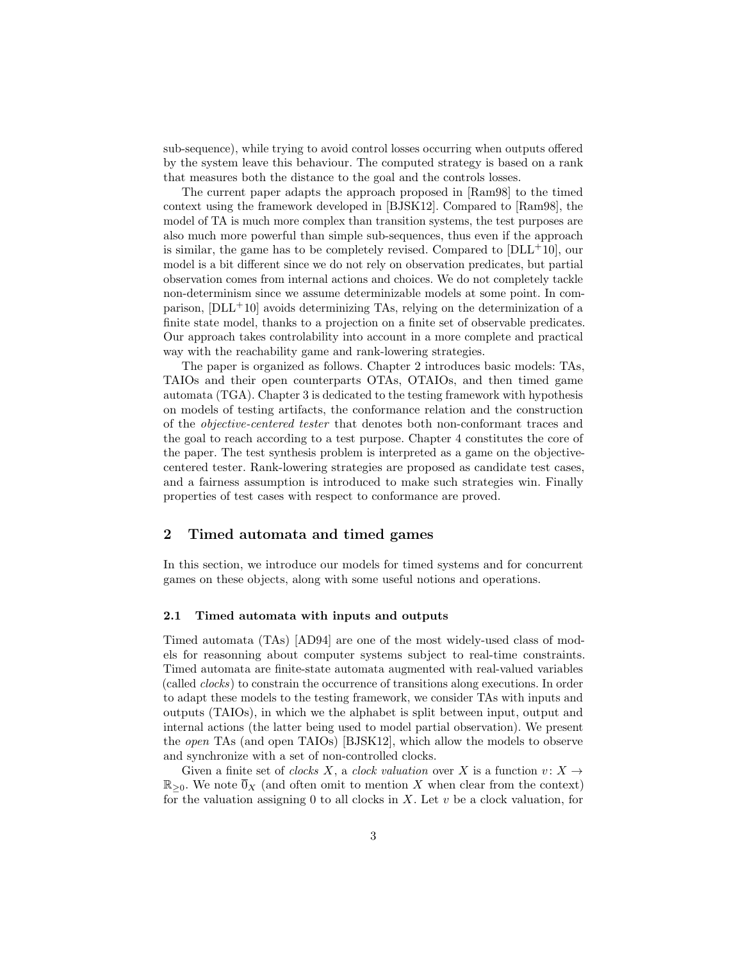sub-sequence), while trying to avoid control losses occurring when outputs offered by the system leave this behaviour. The computed strategy is based on a rank that measures both the distance to the goal and the controls losses.

The current paper adapts the approach proposed in [Ram98] to the timed context using the framework developed in [BJSK12]. Compared to [Ram98], the model of TA is much more complex than transition systems, the test purposes are also much more powerful than simple sub-sequences, thus even if the approach is similar, the game has to be completely revised. Compared to  $[DLL^+10]$ , our model is a bit different since we do not rely on observation predicates, but partial observation comes from internal actions and choices. We do not completely tackle non-determinism since we assume determinizable models at some point. In comparison,  $[DLL+10]$  avoids determinizing TAs, relying on the determinization of a finite state model, thanks to a projection on a finite set of observable predicates. Our approach takes controlability into account in a more complete and practical way with the reachability game and rank-lowering strategies.

The paper is organized as follows. Chapter 2 introduces basic models: TAs, TAIOs and their open counterparts OTAs, OTAIOs, and then timed game automata (TGA). Chapter 3 is dedicated to the testing framework with hypothesis on models of testing artifacts, the conformance relation and the construction of the objective-centered tester that denotes both non-conformant traces and the goal to reach according to a test purpose. Chapter 4 constitutes the core of the paper. The test synthesis problem is interpreted as a game on the objectivecentered tester. Rank-lowering strategies are proposed as candidate test cases, and a fairness assumption is introduced to make such strategies win. Finally properties of test cases with respect to conformance are proved.

### 2 Timed automata and timed games

In this section, we introduce our models for timed systems and for concurrent games on these objects, along with some useful notions and operations.

#### 2.1 Timed automata with inputs and outputs

Timed automata (TAs) [AD94] are one of the most widely-used class of models for reasonning about computer systems subject to real-time constraints. Timed automata are finite-state automata augmented with real-valued variables (called clocks) to constrain the occurrence of transitions along executions. In order to adapt these models to the testing framework, we consider TAs with inputs and outputs (TAIOs), in which we the alphabet is split between input, output and internal actions (the latter being used to model partial observation). We present the open TAs (and open TAIOs) [BJSK12], which allow the models to observe and synchronize with a set of non-controlled clocks.

Given a finite set of clocks X, a clock valuation over X is a function  $v: X \rightarrow$  $\mathbb{R}_{\geq 0}$ . We note  $\overline{0}_X$  (and often omit to mention X when clear from the context) for the valuation assigning 0 to all clocks in  $X$ . Let  $v$  be a clock valuation, for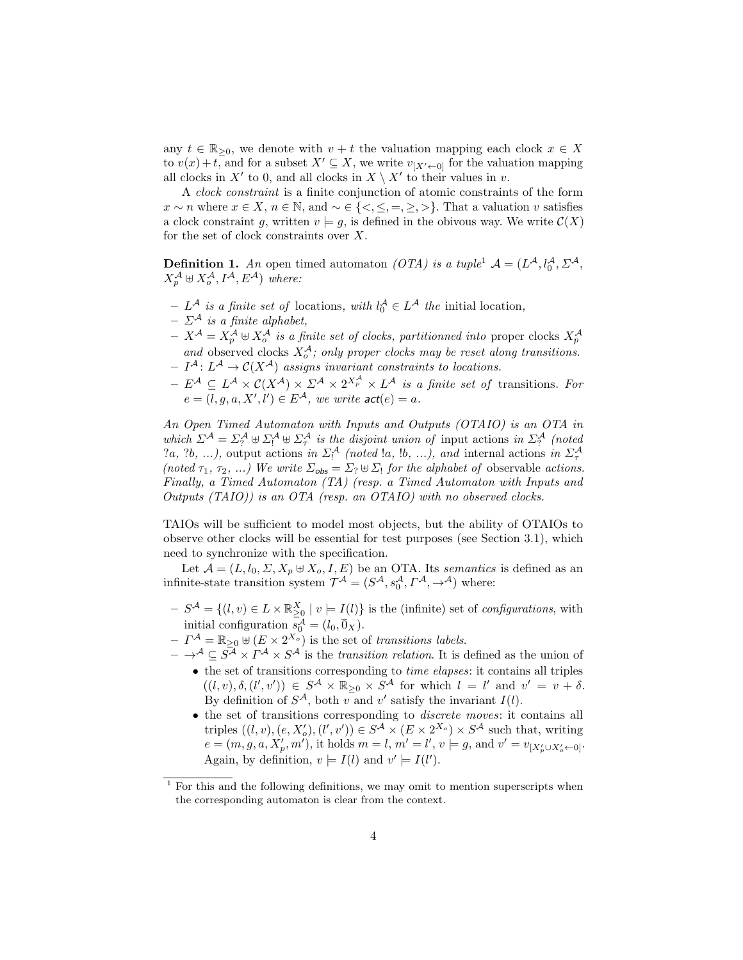any  $t \in \mathbb{R}_{\geq 0}$ , we denote with  $v + t$  the valuation mapping each clock  $x \in X$ to  $v(x) + t$ , and for a subset  $X' \subseteq X$ , we write  $v_{[X' \leftarrow 0]}$  for the valuation mapping all clocks in  $X'$  to 0, and all clocks in  $X \setminus X'$  to their values in v.

A clock constraint is a finite conjunction of atomic constraints of the form  $x \sim n$  where  $x \in X$ ,  $n \in \mathbb{N}$ , and  $\sim \in \{ \leq, \leq, =, \geq, \geq \}$ . That a valuation v satisfies a clock constraint g, written  $v \models g$ , is defined in the obivous way. We write  $\mathcal{C}(X)$ for the set of clock constraints over X.

**Definition 1.** An open timed automaton (OTA) is a tuple<sup>1</sup>  $A = (L^{\mathcal{A}}, l_0^{\mathcal{A}}, \Sigma^{\mathcal{A}},$  $X_p^{\mathcal{A}} \uplus X_o^{\mathcal{A}}, I^{\mathcal{A}}, E^{\mathcal{A}})$  where:

- $-L^{\mathcal{A}}$  is a finite set of locations, with  $l_0^{\mathcal{A}} \in L^{\mathcal{A}}$  the initial location,
- $\Sigma^{\mathcal{A}}$  is a finite alphabet,
- $-X^{\mathcal{A}}=X^{\mathcal{A}}_p\uplus X^{\mathcal{A}}_o$  is a finite set of clocks, partitionned into proper clocks  $X^{\mathcal{A}}_p$ and observed clocks  $X_o^{\mathcal{A}}$ ; only proper clocks may be reset along transitions.  $-I^{\mathcal{A}}: L^{\mathcal{A}} \to \mathcal{C}(X^{\mathcal{A}})$  assigns invariant constraints to locations.
- $-E^{\mathcal{A}} \subseteq L^{\mathcal{A}} \times \mathcal{C}(X^{\mathcal{A}}) \times \Sigma^{\mathcal{A}} \times 2^{X^{\mathcal{A}}_{p}} \times L^{\mathcal{A}}$  is a finite set of transitions. For  $e = (l, g, a, X', l') \in E^{\mathcal{A}}$ , we write  $\mathsf{act}(e) = a$ .

An Open Timed Automaton with Inputs and Outputs (OTAIO) is an OTA in which  $\Sigma^{\mathcal{A}} = \Sigma^{\mathcal{A}}_? \oplus \Sigma^{\mathcal{A}}_? \oplus \Sigma^{\mathcal{A}}_7$  is the disjoint union of input actions in  $\Sigma^{\mathcal{A}}_?$  (noted ?a, ?b, ...), output actions in  $\Sigma^{\mathcal{A}}_!$  (noted !a, !b, ...), and internal actions in  $\Sigma^{\mathcal{A}}_+$ (noted  $\tau_1, \tau_2, ...$ ) We write  $\Sigma_{obs} = \Sigma_? \boxplus \Sigma_!$  for the alphabet of observable actions. Finally, a Timed Automaton (TA) (resp. a Timed Automaton with Inputs and Outputs (TAIO)) is an OTA (resp. an OTAIO) with no observed clocks.

TAIOs will be sufficient to model most objects, but the ability of OTAIOs to observe other clocks will be essential for test purposes (see Section 3.1), which need to synchronize with the specification.

Let  $\mathcal{A} = (L, l_0, \Sigma, X_p \oplus X_o, I, E)$  be an OTA. Its semantics is defined as an infinite-state transition system  $\mathcal{T}^{\mathcal{A}} = (S^{\mathcal{A}}, s_0^{\mathcal{A}}, \Gamma^{\mathcal{A}}, \rightarrow^{\mathcal{A}})$  where:

- $-S^{\mathcal{A}} = \{(l, v) \in L \times \mathbb{R}_{\geq 0}^X \mid v \models I(l)\}\$ is the (infinite) set of *configurations*, with initial configuration  $s_0^{\mathcal{A}} = (l_0, \overline{0}_X).$
- $-I^{\mathcal{A}} = \mathbb{R}_{\geq 0} \uplus (E \times 2^{X_o})$  is the set of transitions labels.
- $\to^{\mathcal{A}} \subseteq S^{\mathcal{A}} \times \Gamma^{\mathcal{A}} \times S^{\mathcal{A}}$  is the *transition relation*. It is defined as the union of • the set of transitions corresponding to time elapses: it contains all triples  $((l, v), \delta, (l', v')) \in S^{\mathcal{A}} \times \mathbb{R}_{\geq 0} \times S^{\mathcal{A}}$  for which  $l = l'$  and  $v' = v + \delta$ . By definition of  $S^{\mathcal{A}}$ , both v and v' satisfy the invariant  $I(l)$ .
	- the set of transitions corresponding to *discrete moves*: it contains all triples  $((l, v), (e, X'_o), (l', v')) \in S^{\mathcal{A}} \times (E \times 2^{X_o}) \times S^{\mathcal{A}}$  such that, writing  $e = (m, g, a, X'_p, m')$ , it holds  $m = l, m' = l', v \models g$ , and  $v' = v_{[X'_p \cup X'_o \leftarrow 0]}$ . Again, by definition,  $v \models I(l)$  and  $v' \models I(l')$ .

 $1$  For this and the following definitions, we may omit to mention superscripts when the corresponding automaton is clear from the context.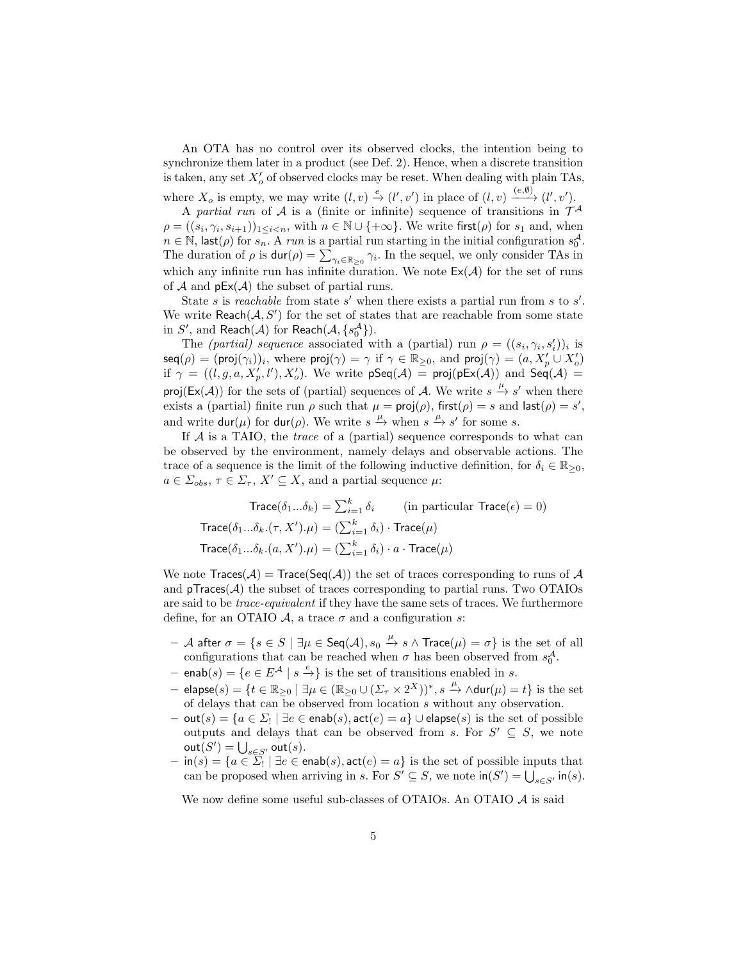An OTA has no control over its observed clocks, the intention being to synchronize them later in a product (see Def. 2). Hence, when a discrete transition is taken, any set  $X'_{o}$  of observed clocks may be reset. When dealing with plain TAs, where  $X_o$  is empty, we may write  $(l, v) \stackrel{e}{\rightarrow} (l', v')$  in place of  $(l, v) \stackrel{(e, \emptyset)}{\longrightarrow} (l', v')$ .

A partial run of A is a (finite or infinite) sequence of transitions in  $\mathcal{T}^{\mathcal{A}}$  $\rho = ((s_i, \gamma_i, s_{i+1}))_{1 \leq i < n}$ , with  $n \in \mathbb{N} \cup \{+\infty\}$ . We write first $(\rho)$  for  $s_1$  and, when  $n \in \mathbb{N}$ , last( $\rho$ ) for  $s_n$ . A run is a partial run starting in the initial configuration  $s_0^{\mathcal{A}}$ . The duration of  $\rho$  is  $\textsf{dur}(\rho) = \sum_{\gamma_i \in \mathbb{R}_{\geq 0}} \gamma_i$ . In the sequel, we only consider TAs in which any infinite run has infinite duration. We note  $Ex(\mathcal{A})$  for the set of runs of  $A$  and  $pEx(A)$  the subset of partial runs.

State s is reachable from state  $s'$  when there exists a partial run from s to  $s'$ . We write  $\mathsf{Reach}(\mathcal{A}, S')$  for the set of states that are reachable from some state in  $S',$  and  $\mathsf{Reach}(\mathcal{A})$  for  $\mathsf{Reach}(\mathcal{A}, \{s_0^{\mathcal{A}}\}).$ 

The *(partial) sequence* associated with a (partial) run  $\rho = ((s_i, \gamma_i, s'_i))_i$  is  $\mathsf{seq}(\rho) = (\mathsf{proj}(\gamma_i))_i, \text{ where } \mathsf{proj}(\gamma) = \gamma \text{ if } \gamma \in \mathbb{R}_{\geq 0}, \text{ and } \mathsf{proj}(\gamma) = (a, X_p' \cup X_o')$ if  $\gamma = ((l, g, a, X_p', l'), X_o')$ . We write  $\mathsf{pSeq}(\mathcal{A}) = \mathsf{proj}(\mathsf{pEx}(\mathcal{A}))$  and  $\mathsf{Seq}(\mathcal{A}) =$ proj( $\mathsf{Ex}(\mathcal{A})$ ) for the sets of (partial) sequences of A. We write  $s \stackrel{\mu}{\to} s'$  when there exists a (partial) finite run  $\rho$  such that  $\mu = \text{proj}(\rho)$ , first $(\rho) = s$  and last $(\rho) = s'$ , and write  $\text{dur}(\mu)$  for  $\text{dur}(\rho)$ . We write  $s \xrightarrow{\mu}$  when  $s \xrightarrow{\mu} s'$  for some s.

If  $A$  is a TAIO, the *trace* of a (partial) sequence corresponds to what can be observed by the environment, namely delays and observable actions. The trace of a sequence is the limit of the following inductive definition, for  $\delta_i \in \mathbb{R}_{\geq 0}$ ,  $a \in \Sigma_{obs}, \tau \in \Sigma_{\tau}, X' \subseteq X$ , and a partial sequence  $\mu$ :

 $Trace(\delta_1...\delta_k) = \sum_{i=1}^k \delta_i$ (in particular  $\text{Trace}(\epsilon) = 0$ )  $\mathsf{Trace}(\delta_1...\delta_k.(\tau,X').\mu) = (\sum_{i=1}^k \delta_i) \cdot \mathsf{Trace}(\mu)$  $\mathsf{Trace}(\delta_1...\delta_k.(a,X').\mu) = (\sum_{i=1}^k \delta_i)\cdot a\cdot\mathsf{Trace}(\mu)$ 

We note  $Trace(A) = Trace(Seq(A))$  the set of traces corresponding to runs of A and  $\mathsf{pTraces}(\mathcal{A})$  the subset of traces corresponding to partial runs. Two OTAIOs are said to be trace-equivalent if they have the same sets of traces. We furthermore define, for an OTAIO  $\mathcal{A}$ , a trace  $\sigma$  and a configuration s:

- $-$  *A* after  $\sigma = \{s \in S \mid \exists \mu \in \textsf{Seq}(\mathcal{A}), s_0 \stackrel{\mu}{\to} s \land \textsf{Trace}(\mu) = \sigma\}$  is the set of all configurations that can be reached when  $\sigma$  has been observed from  $s_0^{\mathcal{A}}$ .
- enab(s) = { $e \in E^{\mathcal{A}}$  | s  $\stackrel{e}{\to}$ } is the set of transitions enabled in s.
- $-$  elapse(s) = { $t \in \mathbb{R}_{\geq 0}$  | ∃μ ∈ ( $\mathbb{R}_{\geq 0} \cup (\Sigma_\tau \times 2^X))^\ast$ ,  $s \xrightarrow{\mu} \wedge$ dur(μ) =  $t$ } is the set of delays that can be observed from location s without any observation.
- $\{- {\sf out}(s) = \{a \in \Sigma_!\mid \exists e \in {\sf enab}(s), {\sf act}(e) = a\} \cup {\sf elapse}(s) \hbox{ is the set of possible } \}$ outputs and delays that can be observed from s. For  $S' \subseteq S$ , we note  $\mathsf{out}(S') = \bigcup_{s \in S'} \mathsf{out}(s).$
- $-$  in(s) = {a ∈ Σ! | ∃e ∈ enab(s), act(e) = a} is the set of possible inputs that can be proposed when arriving in s. For  $S' \subseteq S$ , we note  $\text{in}(S') = \bigcup_{s \in S'} \text{in}(s)$ .

We now define some useful sub-classes of OTAIOs. An OTAIO  $\mathcal A$  is said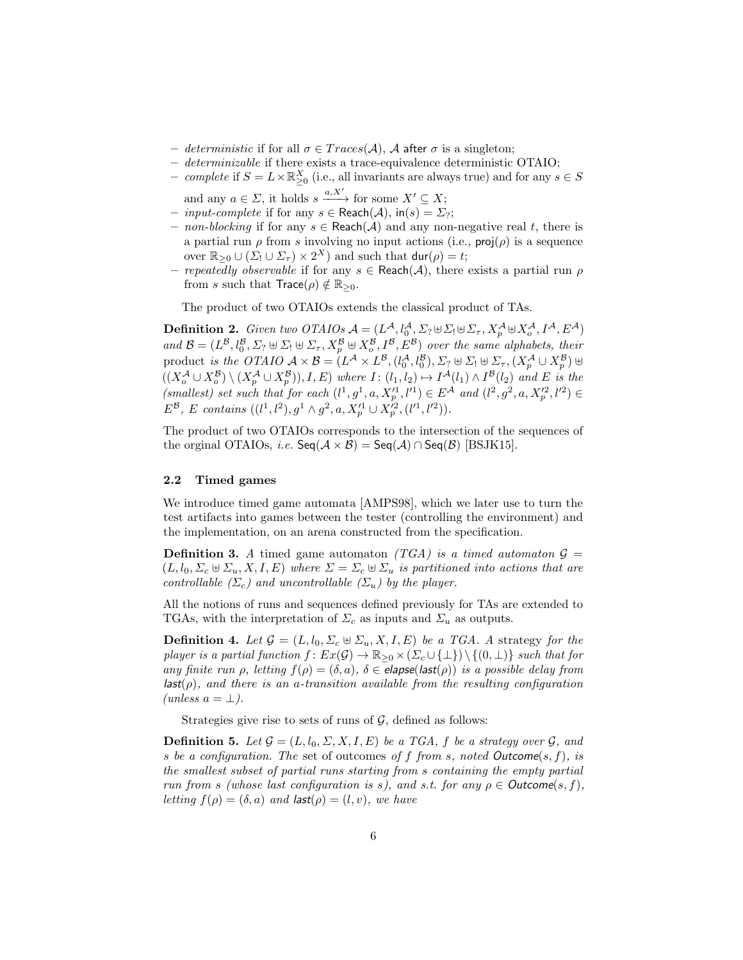- deterministic if for all  $\sigma \in Traces(\mathcal{A})$ ,  $\mathcal A$  after  $\sigma$  is a singleton;
- determinizable if there exists a trace-equivalence deterministic OTAIO;
- − complete if  $S = L \times \mathbb{R}_{\geq 0}^X$  (i.e., all invariants are always true) and for any  $s \in S$ and any  $a \in \Sigma$ , it holds  $s \xrightarrow{a,X'}$  for some  $X' \subseteq X$ ;
- *input-complete* if for any  $s \in \text{Reach}(\mathcal{A})$ ,  $\text{in}(s) = \Sigma_?$ ;
- *non-blocking* if for any  $s \in \text{Reach}(\mathcal{A})$  and any non-negative real t, there is a partial run  $\rho$  from s involving no input actions (i.e.,  $proj(\rho)$  is a sequence over  $\mathbb{R}_{\geq 0} \cup (\Sigma_! \cup \Sigma_\tau) \times 2^X$  and such that  $\text{dur}(\rho) = t$ ;
- repeatedly observable if for any  $s \in \text{Reach}(\mathcal{A})$ , there exists a partial run  $\rho$ from s such that  $Trace(\rho) \notin \mathbb{R}_{\geq 0}$ .

The product of two OTAIOs extends the classical product of TAs.

**Definition 2.** Given two OTAIOs  $A = (L^{\mathcal{A}}, l_0^{\mathcal{A}}, \Sigma_2 \boxplus \Sigma_1 \boxplus \Sigma_{\tau}, X_p^{\mathcal{A}} \boxplus X_o^{\mathcal{A}}, I^{\mathcal{A}}, E^{\mathcal{A}})$ and  $\mathcal{B} = (L^{\mathcal{B}}, l^{\mathcal{B}}_0, \Sigma_? \cup \Sigma_! \cup \Sigma_7, X^{\mathcal{B}}_p \cup X^{\mathcal{B}}_o, I^{\mathcal{B}}, E^{\mathcal{B}})$  over the same alphabets, their product *is the OTAIO*  $\mathcal{A} \times \mathcal{B} = (L^{\mathcal{A}} \times L^{\mathcal{B}}, (l_0^{\mathcal{A}}, l_0^{\mathcal{B}}), \Sigma_? \boxplus \Sigma_! \boxplus \Sigma_7, (X_p^{\mathcal{A}} \cup X_p^{\mathcal{B}}) \boxplus$  $((X_o^{\mathcal{A}} \cup X_o^{\mathcal{B}}) \setminus (X_p^{\mathcal{A}} \cup X_p^{\mathcal{B}})), I, E)$  where  $I: (l_1, l_2) \mapsto I^{\mathcal{A}}(l_1) \wedge I^{\mathcal{B}}(l_2)$  and E is the (smallest) set such that for each  $(l^1, g^1, a, X_p'^1, l'^1) \in E^{\mathcal{A}}$  and  $(l^2, g^2, a, X_p'^2, l'^2) \in$  $E^{\mathcal{B}}, E$  contains  $((l^1, l^2), g^1 \wedge g^2, a, X_p'^1 \cup X_p'^2, (l'^1, l'^2)).$ 

The product of two OTAIOs corresponds to the intersection of the sequences of the orginal OTAIOs, *i.e.* Seq( $A \times B$ ) = Seq( $A$ )  $\cap$  Seq( $B$ ) [BSJK15].

### 2.2 Timed games

We introduce timed game automata [AMPS98], which we later use to turn the test artifacts into games between the tester (controlling the environment) and the implementation, on an arena constructed from the specification.

**Definition 3.** A timed game automaton (TGA) is a timed automaton  $\mathcal{G}$  =  $(L, l_0, \Sigma_c \oplus \Sigma_u, X, I, E)$  where  $\Sigma = \Sigma_c \oplus \Sigma_u$  is partitioned into actions that are controllable  $(\Sigma_c)$  and uncontrollable  $(\Sigma_u)$  by the player.

All the notions of runs and sequences defined previously for TAs are extended to TGAs, with the interpretation of  $\Sigma_c$  as inputs and  $\Sigma_u$  as outputs.

**Definition 4.** Let  $\mathcal{G} = (L, l_0, \Sigma_c \oplus \Sigma_u, X, I, E)$  be a TGA. A strategy for the player is a partial function  $f: Ex(\mathcal{G}) \to \mathbb{R}_{\geq 0} \times (\Sigma_c \cup \{\perp\}) \setminus \{(0, \perp)\}\)$  such that for any finite run  $\rho$ , letting  $f(\rho) = (\delta, a)$ ,  $\delta \in \text{elapse}(\text{last}(\rho))$  is a possible delay from  $\mathsf{last}(\rho)$ , and there is an a-transition available from the resulting configuration  $(unless a = \bot).$ 

Strategies give rise to sets of runs of  $\mathcal{G}$ , defined as follows:

**Definition 5.** Let  $\mathcal{G} = (L, l_0, \Sigma, X, I, E)$  be a TGA, f be a strategy over  $\mathcal{G}$ , and s be a configuration. The set of outcomes of f from s, noted Outcome(s, f), is the smallest subset of partial runs starting from s containing the empty partial run from s (whose last configuration is s), and s.t. for any  $\rho \in$  Outcome(s, f), letting  $f(\rho) = (\delta, a)$  and last $(\rho) = (l, v)$ , we have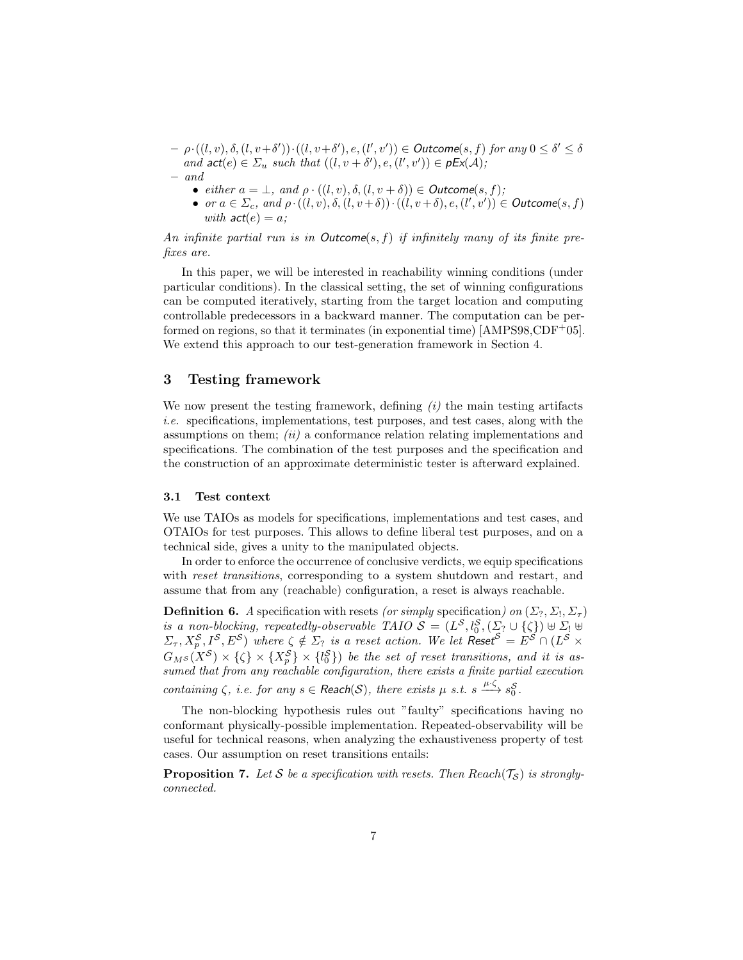$- \rho \cdot ((l, v), \delta, (l, v + \delta')) \cdot ((l, v + \delta'), e, (l', v')) \in$  Outcome $(s, f)$  for any  $0 \leq \delta' \leq \delta$ and  $\textsf{act}(e) \in \Sigma_u$  such that  $((l, v + \delta'), e, (l', v')) \in \textsf{pEx}(A);$ 

#### – and

- either  $a = \bot$ , and  $\rho \cdot ((l, v), \delta, (l, v + \delta)) \in$  Outcome $(s, f)$ ;
- or  $a \in \Sigma_c$ , and  $\rho \cdot ((l, v), \delta, (l, v + \delta)) \cdot ((l, v + \delta), e, (l', v')) \in$  Outcome $(s, f)$ with  $act(e) = a$ :

An infinite partial run is in Outcome $(s, f)$  if infinitely many of its finite prefixes are.

In this paper, we will be interested in reachability winning conditions (under particular conditions). In the classical setting, the set of winning configurations can be computed iteratively, starting from the target location and computing controllable predecessors in a backward manner. The computation can be performed on regions, so that it terminates (in exponential time)  $[AMPSS8, CDF<sup>+</sup>05]$ . We extend this approach to our test-generation framework in Section 4.

### 3 Testing framework

We now present the testing framework, defining  $(i)$  the main testing artifacts i.e. specifications, implementations, test purposes, and test cases, along with the assumptions on them;  $(ii)$  a conformance relation relating implementations and specifications. The combination of the test purposes and the specification and the construction of an approximate deterministic tester is afterward explained.

### 3.1 Test context

We use TAIOs as models for specifications, implementations and test cases, and OTAIOs for test purposes. This allows to define liberal test purposes, and on a technical side, gives a unity to the manipulated objects.

In order to enforce the occurrence of conclusive verdicts, we equip specifications with *reset transitions*, corresponding to a system shutdown and restart, and assume that from any (reachable) configuration, a reset is always reachable.

**Definition 6.** A specification with resets (or simply specification) on  $(\Sigma_?, \Sigma_', \Sigma_')$ is a non-blocking, repeatedly-observable TAIO  $S = (L^S, l_0^S, (\Sigma_3 \cup \{\zeta\}) \cup \Sigma) \cup$  $(\Sigma_\tau, X_p^{\mathcal{S}}, I^{\mathcal{S}}, E^{\mathcal{S}})$  where  $\zeta \notin \Sigma_\tau$  is a reset action. We let  $\mathsf{Reset}^{\mathcal{S}} = \tilde{E}^{\mathcal{S}} \cap (L^{\mathcal{S}} \times$  $G_{M^{\mathcal{S}}}(X^{\mathcal{S}}) \times \{\zeta\} \times \{X_p^{\mathcal{S}}\} \times \{l_0^{\mathcal{S}}\}\)$  be the set of reset transitions, and it is assumed that from any reachable configuration, there exists a finite partial execution containing  $\zeta$ , i.e. for any  $s \in \text{Reach}(S)$ , there exists  $\mu$  s.t.  $s \stackrel{\mu \cdot \zeta}{\longrightarrow} s_0^S$ .

The non-blocking hypothesis rules out "faulty" specifications having no conformant physically-possible implementation. Repeated-observability will be useful for technical reasons, when analyzing the exhaustiveness property of test cases. Our assumption on reset transitions entails:

**Proposition 7.** Let S be a specification with resets. Then  $Reach(\mathcal{T}_{S})$  is stronglyconnected.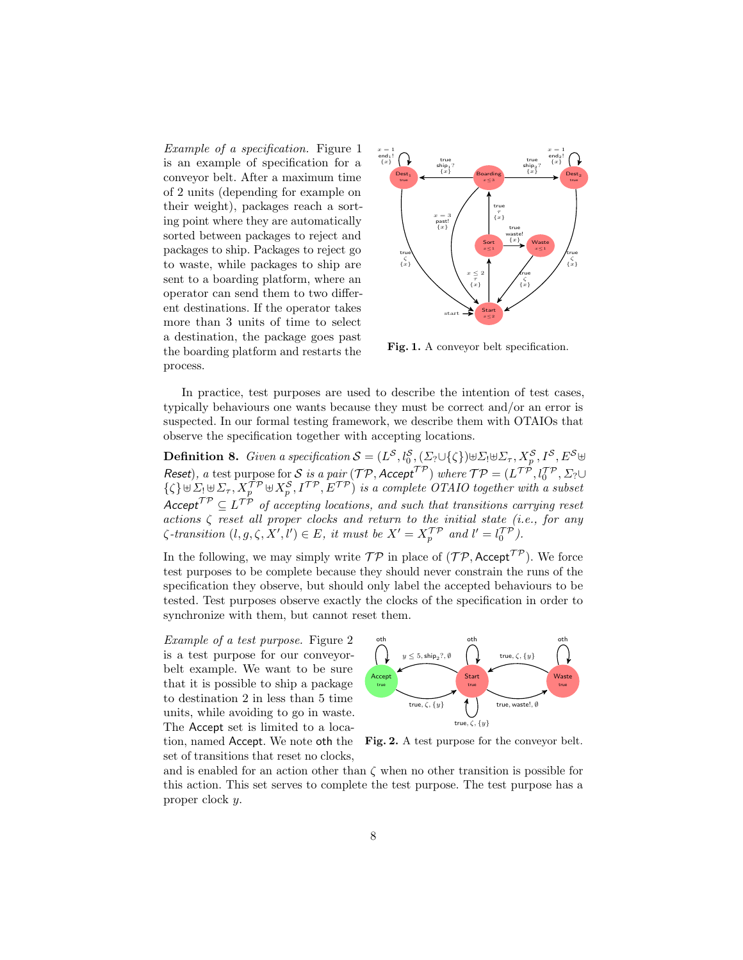Example of a specification. Figure 1 is an example of specification for a conveyor belt. After a maximum time of 2 units (depending for example on their weight), packages reach a sorting point where they are automatically sorted between packages to reject and packages to ship. Packages to reject go to waste, while packages to ship are sent to a boarding platform, where an operator can send them to two different destinations. If the operator takes more than 3 units of time to select a destination, the package goes past the boarding platform and restarts the process.



Fig. 1. A conveyor belt specification.

In practice, test purposes are used to describe the intention of test cases, typically behaviours one wants because they must be correct and/or an error is suspected. In our formal testing framework, we describe them with OTAIOs that observe the specification together with accepting locations.

**Definition 8.** Given a specification  $S = (L^S, l_0^S, (\Sigma_2 \cup {\zeta}) \cup \Sigma_1 \cup \Sigma_\tau, X_p^S, I^S, E^S \cup$ **Definition 6.** Given a specification  $S = (L^r, t_0, (2/0 \{S\}) \oplus 2/\pi, \Lambda_p, I^r, L^r \oplus$ <br>Reset), a test purpose for S is a pair  $(\mathcal{TP}, \text{Accept}^{\mathcal{TP}})$  where  $\mathcal{TP} = (L^{\mathcal{TP}}, l_0^{\mathcal{TP}}, \Sigma_2 \cup$  $\{\zeta\}\,\forall\,\Sigma_1\,\forall\,\Sigma_\tau, X_p^{\tau\mathcal{P}}\,\forall\,X_p^{\mathcal{S}},I^{\tau\mathcal{P}},E^{\tau\mathcal{P}})$  is a complete OTAIO together with a subset Accept<sup>TP</sup>  $\subseteq L^{\mathcal{TP}}$  of accepting locations, and such that transitions carrying reset actions  $\zeta$  reset all proper clocks and return to the initial state (i.e., for any  $\zeta$ -transition  $(l, g, \zeta, X', l') \in E$ , it must be  $X' = X_p^{\mathcal{TP}}$  and  $l' = l_0^{\mathcal{TP}}$ .

In the following, we may simply write  $\mathcal{TP}$  in place of  $(\mathcal{TP}, \mathsf{Accept}^{\mathcal{TP}})$ . We force test purposes to be complete because they should never constrain the runs of the specification they observe, but should only label the accepted behaviours to be tested. Test purposes observe exactly the clocks of the specification in order to synchronize with them, but cannot reset them.

Example of a test purpose. Figure 2 is a test purpose for our conveyorbelt example. We want to be sure that it is possible to ship a package to destination 2 in less than 5 time units, while avoiding to go in waste. The Accept set is limited to a location, named Accept. We note oth the set of transitions that reset no clocks,



Fig. 2. A test purpose for the conveyor belt.

and is enabled for an action other than  $\zeta$  when no other transition is possible for this action. This set serves to complete the test purpose. The test purpose has a proper clock y.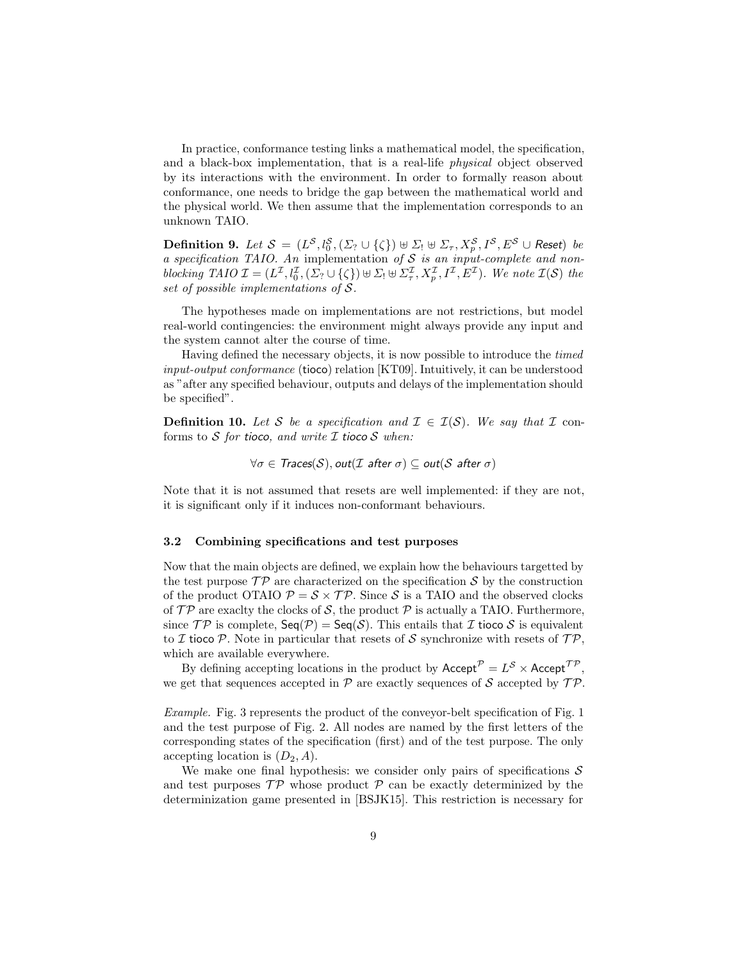In practice, conformance testing links a mathematical model, the specification, and a black-box implementation, that is a real-life physical object observed by its interactions with the environment. In order to formally reason about conformance, one needs to bridge the gap between the mathematical world and the physical world. We then assume that the implementation corresponds to an unknown TAIO.

**Definition 9.** Let  $\mathcal{S} = (L^{\mathcal{S}}, l^{\mathcal{S}}_0, (\Sigma_? \cup \{\zeta\}) \uplus \Sigma_! \uplus \Sigma_\tau, X^{\mathcal{S}}_p, I^{\mathcal{S}}, E^{\mathcal{S}} \cup$  Reset) be a specification TAIO. An implementation of  $S$  is an input-complete and nonblocking TAIO  $\mathcal{I} = (L^{\mathcal{I}}, l_0^{\mathcal{I}}, (\Sigma_2 \cup {\{\zeta\}}) \oplus \Sigma_1 \oplus \Sigma_7^{\mathcal{I}}, X_p^{\mathcal{I}}, I^{\mathcal{I}}, E^{\mathcal{I}})$ . We note  $\mathcal{I}(\mathcal{S})$  the set of possible implementations of S.

The hypotheses made on implementations are not restrictions, but model real-world contingencies: the environment might always provide any input and the system cannot alter the course of time.

Having defined the necessary objects, it is now possible to introduce the timed input-output conformance (tioco) relation [KT09]. Intuitively, it can be understood as "after any specified behaviour, outputs and delays of the implementation should be specified".

**Definition 10.** Let S be a specification and  $\mathcal{I} \in \mathcal{I}(\mathcal{S})$ . We say that  $\mathcal{I}$  conforms to  $S$  for tioco, and write  $I$  tioco  $S$  when:

$$
\forall \sigma \in \mathit{Traces}(\mathcal{S}), \mathit{out}(\mathcal{I} \text{ after } \sigma) \subseteq \mathit{out}(\mathcal{S} \text{ after } \sigma)
$$

Note that it is not assumed that resets are well implemented: if they are not, it is significant only if it induces non-conformant behaviours.

### 3.2 Combining specifications and test purposes

Now that the main objects are defined, we explain how the behaviours targetted by the test purpose  $\mathcal{TP}$  are characterized on the specification S by the construction of the product OTAIO  $P = S \times T$ P. Since S is a TAIO and the observed clocks of  $\mathcal{TP}$  are exactly the clocks of S, the product P is actually a TAIO. Furthermore, since  $\mathcal{TP}$  is complete,  $\mathsf{Seq}(\mathcal{P}) = \mathsf{Seq}(\mathcal{S})$ . This entails that  $\mathcal I$  tioco  $\mathcal S$  is equivalent to I tioco P. Note in particular that resets of S synchronize with resets of  $\mathcal{TP}$ , which are available everywhere.

By defining accepting locations in the product by  $\mathsf{Accept}^{\mathcal{P}} = L^{\mathcal{S}} \times \mathsf{Accept}^{\mathcal{TP}},$ we get that sequences accepted in  $\mathcal P$  are exactly sequences of  $\mathcal S$  accepted by  $\mathcal T\mathcal P$ .

Example. Fig. 3 represents the product of the conveyor-belt specification of Fig. 1 and the test purpose of Fig. 2. All nodes are named by the first letters of the corresponding states of the specification (first) and of the test purpose. The only accepting location is  $(D_2, A)$ .

We make one final hypothesis: we consider only pairs of specifications  $\mathcal S$ and test purposes  $\mathcal{TP}$  whose product  $\mathcal P$  can be exactly determinized by the determinization game presented in [BSJK15]. This restriction is necessary for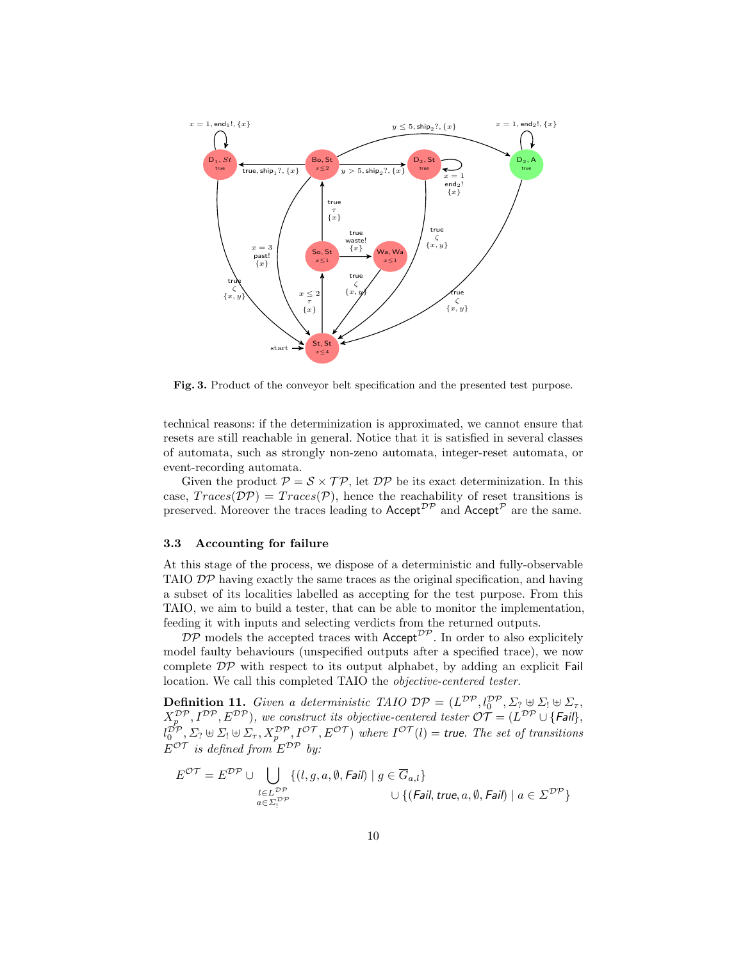

Fig. 3. Product of the conveyor belt specification and the presented test purpose.

technical reasons: if the determinization is approximated, we cannot ensure that resets are still reachable in general. Notice that it is satisfied in several classes of automata, such as strongly non-zeno automata, integer-reset automata, or event-recording automata.

Given the product  $P = S \times T$ , let  $DP$  be its exact determinization. In this case,  $Trace(DP) = Trace(P)$ , hence the reachability of reset transitions is preserved. Moreover the traces leading to  $Accept^{\mathcal{DP}}$  and  $Accept^{\mathcal{P}}$  are the same.

### 3.3 Accounting for failure

At this stage of the process, we dispose of a deterministic and fully-observable TAIO DP having exactly the same traces as the original specification, and having a subset of its localities labelled as accepting for the test purpose. From this TAIO, we aim to build a tester, that can be able to monitor the implementation, feeding it with inputs and selecting verdicts from the returned outputs.

 $\overrightarrow{DP}$  models the accepted traces with Accept<sup> $\overrightarrow{DP}$ </sup>. In order to also explicitely model faulty behaviours (unspecified outputs after a specified trace), we now complete  $\mathcal{DP}$  with respect to its output alphabet, by adding an explicit Fail location. We call this completed TAIO the objective-centered tester.

**Definition 11.** Given a deterministic TAIO  $DP = (L^{DP}, l_0^{DP}, \Sigma_2 \oplus \Sigma_1 \oplus \Sigma_{\tau},$  $X_p^{DP}, I^{DP}, E^{DP}$ ), we construct its objective-centered tester  $\mathcal{OT} = (L^{DP} \cup \{\text{fail}\},\text{init})$  $l_0^{DP}, \Sigma_? \oplus \Sigma_! \oplus \Sigma_\tau, X_p^{DP}, I^{OT}, E^{OT})$  where  $I^{OT}(l) =$  true. The set of transitions  $E^{\mathcal{OT}}$  is defined from  $E^{\mathcal{DP}}$  by:

$$
E^{\mathcal{OT}} = E^{\mathcal{DP}} \cup \bigcup_{\substack{l \in L^{\mathcal{DP}} \\ a \in \Sigma_l^{\mathcal{DP}}} } \{ (l, g, a, \emptyset, \mathit{fail}) \mid g \in \overline{G}_{a,l} \} \\ \cup \{ (\mathit{fail}, \mathit{true}, a, \emptyset, \mathit{fail}) \mid a \in \Sigma^{\mathcal{DP}} \}
$$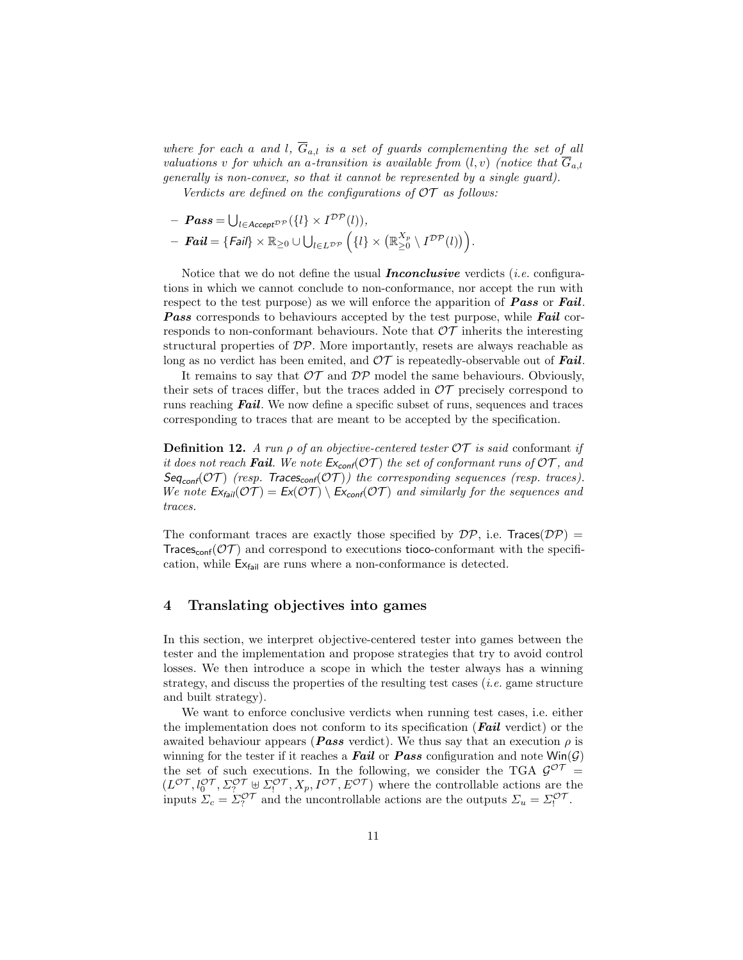where for each a and l,  $\overline{G}_{a,l}$  is a set of guards complementing the set of all valuations v for which an a-transition is available from  $(l, v)$  (notice that  $G_{a,l}$ ) generally is non-convex, so that it cannot be represented by a single guard).

Verdicts are defined on the configurations of  $OT$  as follows:

 $\boldsymbol{Pass} = \bigcup_{l \in Accept^{\mathcal{DP}}} (\{l\} \times I^{\mathcal{DP}}(l)),$  $\begin{split} &-\| \bm{fail} = \{\bm{\mathit{fail}}\} \times \mathbb{R}_{\geq 0} \cup \bigcup_{l \in L^{\mathcal{DP}}} \Big(\{l\} \times \big( \mathbb{R}^{X_p}_{\geq 0} \setminus I^{\mathcal{DP}}(l) \big) \Big). \end{split}$ 

Notice that we do not define the usual **Inconclusive** verdicts (*i.e.* configurations in which we cannot conclude to non-conformance, nor accept the run with respect to the test purpose) as we will enforce the apparition of **Pass** or **Fail**. **Pass** corresponds to behaviours accepted by the test purpose, while **Fail** corresponds to non-conformant behaviours. Note that  $\mathcal{OT}$  inherits the interesting structural properties of  $\mathcal{DP}$ . More importantly, resets are always reachable as long as no verdict has been emited, and  $OT$  is repeatedly-observable out of **Fail**.

It remains to say that  $\mathcal{OT}$  and  $\mathcal{DP}$  model the same behaviours. Obviously, their sets of traces differ, but the traces added in  $\mathcal{OT}$  precisely correspond to runs reaching **Fail**. We now define a specific subset of runs, sequences and traces corresponding to traces that are meant to be accepted by the specification.

**Definition 12.** A run  $\rho$  of an objective-centered tester  $\mathcal{OT}$  is said conformant if it does not reach **Fail**. We note  $\mathsf{Ex}_{\mathsf{conf}}(\mathcal{OT})$  the set of conformant runs of  $\mathcal{OT}$ , and Seq<sub>conf</sub>( $OT$ ) (resp. Traces<sub>conf</sub>( $OT$ )) the corresponding sequences (resp. traces). We note  $\mathsf{Ex}_{\mathsf{fail}}(\mathcal{OT}) = \mathsf{Ex}(\mathcal{OT}) \setminus \mathsf{Ex}_{\mathsf{conf}}(\mathcal{OT})$  and similarly for the sequences and traces.

The conformant traces are exactly those specified by  $\mathcal{DP}$ , i.e. Traces( $\mathcal{DP}$ ) = Traces<sub>conf</sub>( $\mathcal{OT}$ ) and correspond to executions tioco-conformant with the specification, while  $\mathsf{Ex}_{\mathsf{fail}}$  are runs where a non-conformance is detected.

# 4 Translating objectives into games

In this section, we interpret objective-centered tester into games between the tester and the implementation and propose strategies that try to avoid control losses. We then introduce a scope in which the tester always has a winning strategy, and discuss the properties of the resulting test cases (*i.e.* game structure and built strategy).

We want to enforce conclusive verdicts when running test cases, i.e. either the implementation does not conform to its specification ( $\textit{Tail}$  verdict) or the awaited behaviour appears (**Pass** verdict). We thus say that an execution  $\rho$  is winning for the tester if it reaches a **Fail** or **Pass** configuration and note  $\text{Win}(\mathcal{G})$ the set of such executions. In the following, we consider the TGA  $\mathcal{G}^{\mathcal{OT}}$  =  $(L^{\mathcal{OT}}, l_0^{\mathcal{OT}}, \Sigma_?^{\mathcal{OT}} \oplus \Sigma_?^{\mathcal{OT}}, X_p, I^{\mathcal{OT}}, E^{\mathcal{OT}})$  where the controllable actions are the inputs  $\Sigma_c = \Sigma_?^{\mathcal{OT}}$  and the uncontrollable actions are the outputs  $\Sigma_u = \Sigma_?^{\mathcal{OT}}$ .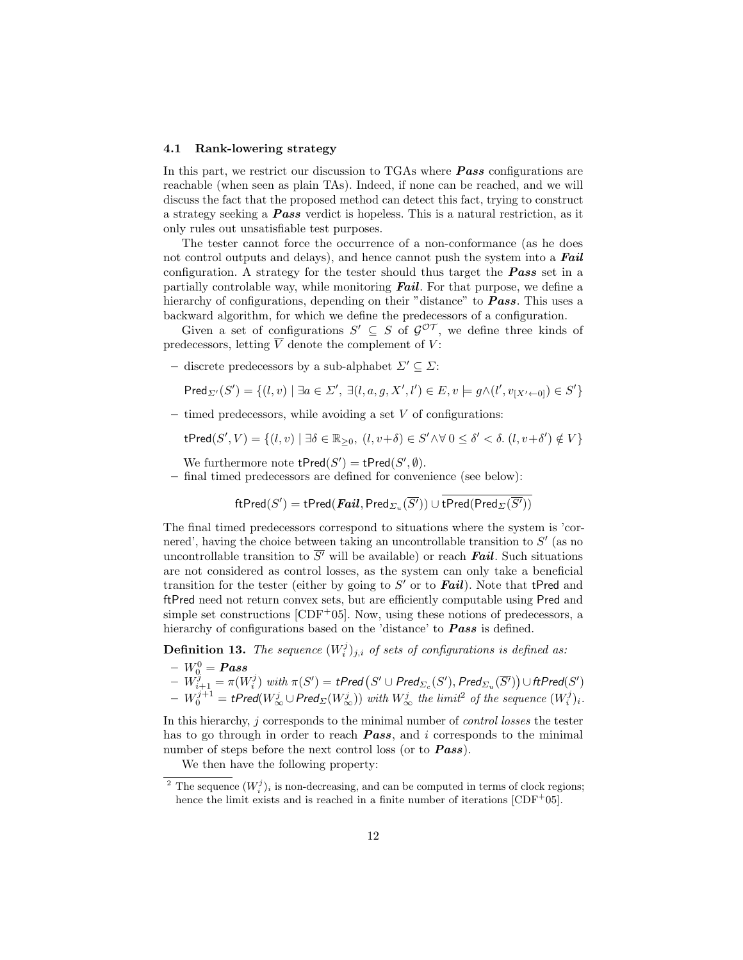#### 4.1 Rank-lowering strategy

In this part, we restrict our discussion to TGAs where **Pass** configurations are reachable (when seen as plain TAs). Indeed, if none can be reached, and we will discuss the fact that the proposed method can detect this fact, trying to construct a strategy seeking a Pass verdict is hopeless. This is a natural restriction, as it only rules out unsatisfiable test purposes.

The tester cannot force the occurrence of a non-conformance (as he does not control outputs and delays), and hence cannot push the system into a **Fail** configuration. A strategy for the tester should thus target the **Pass** set in a partially controlable way, while monitoring  $\textit{Tail}$ . For that purpose, we define a hierarchy of configurations, depending on their "distance" to **Pass**. This uses a backward algorithm, for which we define the predecessors of a configuration.

Given a set of configurations  $S' \subseteq S$  of  $\mathcal{G}^{\mathcal{OT}}$ , we define three kinds of predecessors, letting  $\overline{V}$  denote the complement of V:

– discrete predecessors by a sub-alphabet  $\Sigma' \subseteq \Sigma$ :

$$
\mathsf{Pred}_{\varSigma'}(S') = \{(l, v) \mid \exists a \in \varSigma', \ \exists (l, a, g, X', l') \in E, v \models g \land (l', v_{[X' \leftarrow 0]}) \in S'\}
$$

– timed predecessors, while avoiding a set  $V$  of configurations:

$$
\mathsf{tPred}(S',V) = \{(l,v) \mid \exists \delta \in \mathbb{R}_{\geq 0},\ (l,v+\delta) \in S' \land \forall \ 0 \leq \delta' < \delta.\ (l,v+\delta') \notin V\}
$$

- We furthermore note  $tPred(S') = tPred(S', \emptyset)$ .
- final timed predecessors are defined for convenience (see below):

$$
\mathsf{ftPred}(S') = \mathsf{tPred}(\mathit{Fail}, \mathsf{Pred}_{\varSigma_u}(\overline{S'})) \cup \mathsf{tPred}(\mathsf{Pred}_{\varSigma}(\overline{S'}))
$$

The final timed predecessors correspond to situations where the system is 'cornered', having the choice between taking an uncontrollable transition to  $S'$  (as no uncontrollable transition to  $\overline{S'}$  will be available) or reach **Fail**. Such situations are not considered as control losses, as the system can only take a beneficial transition for the tester (either by going to  $S'$  or to  $\text{fail}$ ). Note that tPred and ftPred need not return convex sets, but are efficiently computable using Pred and simple set constructions  $[CDF<sup>+</sup>05]$ . Now, using these notions of predecessors, a hierarchy of configurations based on the 'distance' to **Pass** is defined.

**Definition 13.** The sequence  $(W_i^j)_{j,i}$  of sets of configurations is defined as:

- $\; W^0_0 = \boldsymbol{Pass}$
- $-\; W^{\breve{j}}_{i+1}=\pi(W^j_i)\; with\; \pi(S')=tPred\left(S'\cup Pred_{\varSigma_c}(S'), Pred_{\varSigma_u}(\overline{S'})\right)\cup tPred(S')$
- $W_0^{j+1} = t$ Pred $(W_\infty^j \cup Pred_{\Sigma}(W_\infty^j))$  with  $W_\infty^j$  the limit<sup>2</sup> of the sequence  $(W_i^j)_i$ .

In this hierarchy, j corresponds to the minimal number of control losses the tester has to go through in order to reach **Pass**, and i corresponds to the minimal number of steps before the next control loss (or to  $Pass$ ).

We then have the following property:

<sup>&</sup>lt;sup>2</sup> The sequence  $(W_i^j)_i$  is non-decreasing, and can be computed in terms of clock regions; hence the limit exists and is reached in a finite number of iterations  $[CDF^+05]$ .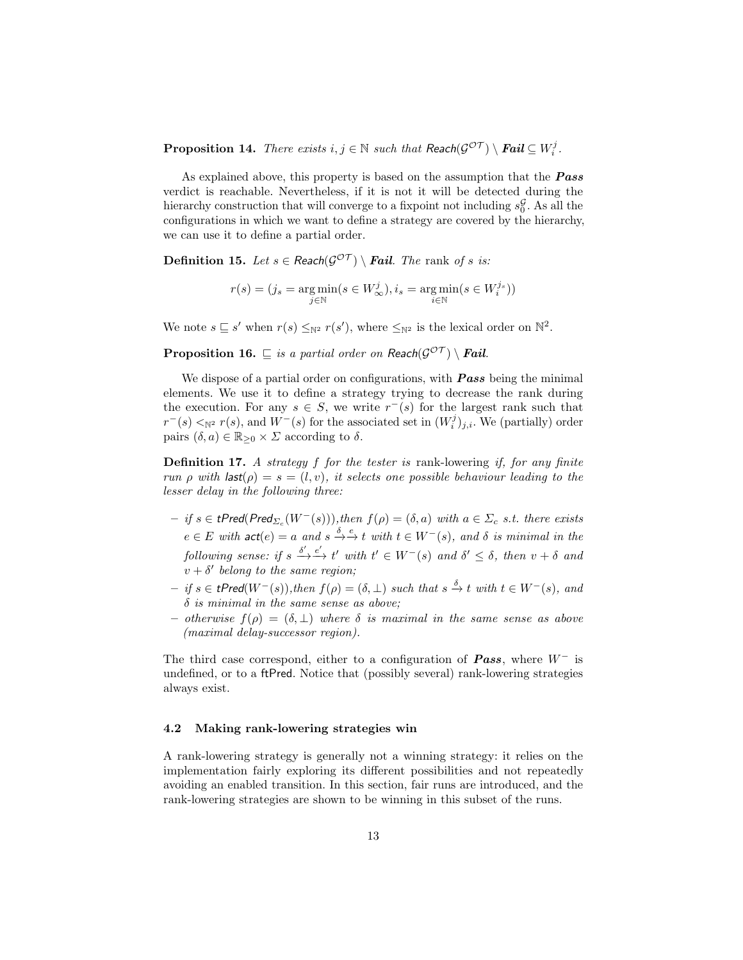**Proposition 14.** There exists  $i, j \in \mathbb{N}$  such that  $\mathsf{Reach}(\mathcal{G}^{\mathcal{OT}}) \setminus \mathit{Fall} \subseteq W_i^j$ .

As explained above, this property is based on the assumption that the **Pass** verdict is reachable. Nevertheless, if it is not it will be detected during the hierarchy construction that will converge to a fixpoint not including  $s_0^{\mathcal{G}}$ . As all the configurations in which we want to define a strategy are covered by the hierarchy, we can use it to define a partial order.

**Definition 15.** Let  $s \in$  Reach $(\mathcal{G}^{\mathcal{OT}}) \setminus \textit{Tail.}$  The rank of s is:

$$
r(s) = (j_s = \underset{j \in \mathbb{N}}{\arg\min} (s \in W^j_{\infty}), i_s = \underset{i \in \mathbb{N}}{\arg\min} (s \in W^{j_s}_i))
$$

We note  $s \sqsubseteq s'$  when  $r(s) \leq_{\mathbb{N}^2} r(s')$ , where  $\leq_{\mathbb{N}^2}$  is the lexical order on  $\mathbb{N}^2$ .

**Proposition 16.**  $\sqsubseteq$  is a partial order on Reach( $\mathcal{G}^{\mathcal{OT}}$ ) \ **Fail.** 

We dispose of a partial order on configurations, with  $Pass$  being the minimal elements. We use it to define a strategy trying to decrease the rank during the execution. For any  $s \in S$ , we write  $r^-(s)$  for the largest rank such that  $r^-(s) <_{\mathbb{N}^2} r(s)$ , and  $W^-(s)$  for the associated set in  $(W_i^j)_{j,i}$ . We (partially) order pairs  $(\delta, a) \in \mathbb{R}_{\geq 0} \times \Sigma$  according to  $\delta$ .

**Definition 17.** A strategy f for the tester is rank-lowering if, for any finite run ρ with  $\textsf{last}(\rho) = s = (l, v)$ , it selects one possible behaviour leading to the lesser delay in the following three:

- $-$  if s ∈ tPred(Pred<sub>Σc</sub>(W<sup>-</sup>(s))),then  $f(\rho) = (\delta, a)$  with  $a \in \Sigma_c$  s.t. there exists  $e \in E$  with  $\mathsf{act}(e) = a$  and  $s \xrightarrow{\delta} e^+ t$  with  $t \in W^-(s)$ , and  $\delta$  is minimal in the following sense: if  $s \stackrel{\delta'}{\rightarrow} \stackrel{e'}{\rightarrow} t'$  with  $t' \in W^{-}(s)$  and  $\delta' \leq \delta$ , then  $v + \delta$  and  $v + \delta'$  belong to the same region;
- $-$  if  $s \in t$ Pred $(W^-(s))$ , then  $f(\rho) = (\delta, \perp)$  such that  $s \stackrel{\delta}{\to} t$  with  $t \in W^-(s)$ , and  $\delta$  is minimal in the same sense as above;
- otherwise  $f(\rho) = (\delta, \perp)$  where  $\delta$  is maximal in the same sense as above (maximal delay-successor region).

The third case correspond, either to a configuration of **Pass**, where  $W^-$  is undefined, or to a ftPred. Notice that (possibly several) rank-lowering strategies always exist.

#### 4.2 Making rank-lowering strategies win

A rank-lowering strategy is generally not a winning strategy: it relies on the implementation fairly exploring its different possibilities and not repeatedly avoiding an enabled transition. In this section, fair runs are introduced, and the rank-lowering strategies are shown to be winning in this subset of the runs.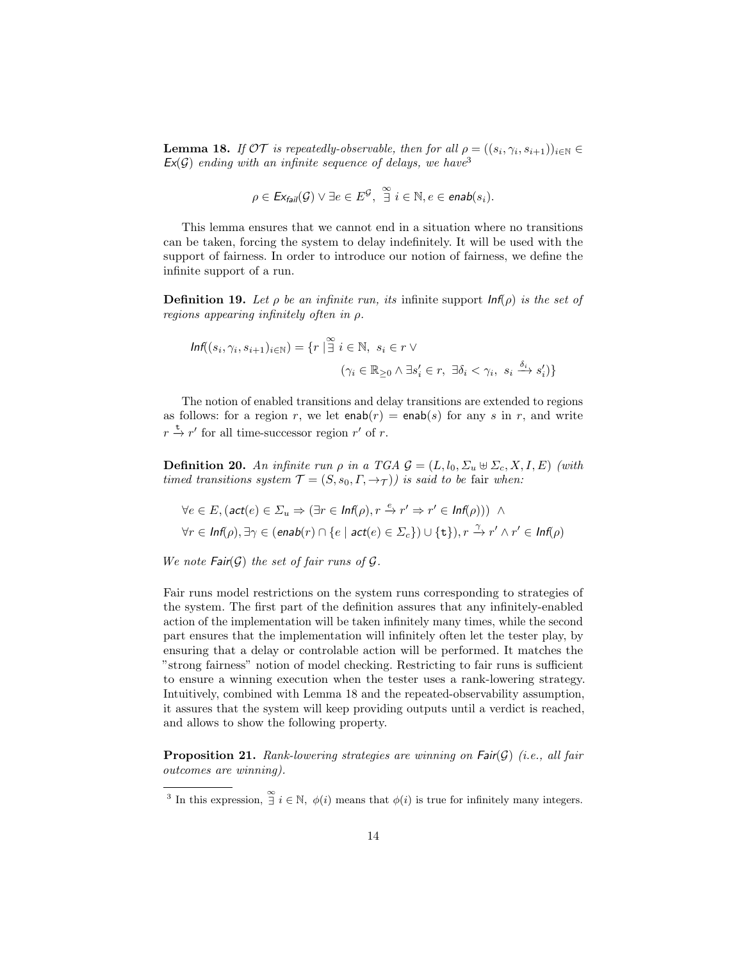**Lemma 18.** If  $\mathcal{OT}$  is repeatedly-observable, then for all  $\rho = ((s_i, \gamma_i, s_{i+1}))_{i \in \mathbb{N}} \in$  $Ex(\mathcal{G})$  ending with an infinite sequence of delays, we have<sup>3</sup>

$$
\rho \in \mathsf{Ex}_{\mathsf{fail}}(\mathcal{G}) \vee \exists e \in E^{\mathcal{G}}, \ \exists i \in \mathbb{N}, e \in \mathsf{enab}(s_i).
$$

This lemma ensures that we cannot end in a situation where no transitions can be taken, forcing the system to delay indefinitely. It will be used with the support of fairness. In order to introduce our notion of fairness, we define the infinite support of a run.

**Definition 19.** Let  $\rho$  be an infinite run, its infinite support  $\text{Inf}(\rho)$  is the set of regions appearing infinitely often in ρ.

$$
\mathit{Inf}((s_i,\gamma_i,s_{i+1})_{i\in\mathbb{N}})=\{r\mid\exists i\in\mathbb{N},\ s_i\in r\vee\\\hspace{1cm}(\gamma_i\in\mathbb{R}_{\geq 0}\wedge\exists s_i'\in r,\ \exists\delta_i<\gamma_i,\ s_i\stackrel{\delta_i}{\longrightarrow}s_i')\}
$$

The notion of enabled transitions and delay transitions are extended to regions as follows: for a region r, we let  $enab(r) = enab(s)$  for any s in r, and write  $r \stackrel{\mathsf{t}}{\rightarrow} r'$  for all time-successor region  $r'$  of r.

**Definition 20.** An infinite run  $\rho$  in a TGA  $\mathcal{G} = (L, l_0, \Sigma_u \oplus \Sigma_c, X, I, E)$  (with timed transitions system  $\mathcal{T} = (S, s_0, \Gamma, \rightarrow_{\mathcal{T}})$  is said to be fair when:

$$
\forall e \in E, (\text{act}(e) \in \Sigma_u \Rightarrow (\exists r \in \text{Inf}(\rho), r \xrightarrow{e} r' \Rightarrow r' \in \text{Inf}(\rho))) \land
$$
  

$$
\forall r \in \text{Inf}(\rho), \exists \gamma \in (\text{enab}(r) \cap \{e \mid \text{act}(e) \in \Sigma_c\}) \cup \{\texttt{t}\}), r \xrightarrow{\gamma} r' \land r' \in \text{Inf}(\rho)
$$

We note  $\textsf{Fair}(\mathcal{G})$  the set of fair runs of  $\mathcal{G}$ .

Fair runs model restrictions on the system runs corresponding to strategies of the system. The first part of the definition assures that any infinitely-enabled action of the implementation will be taken infinitely many times, while the second part ensures that the implementation will infinitely often let the tester play, by ensuring that a delay or controlable action will be performed. It matches the "strong fairness" notion of model checking. Restricting to fair runs is sufficient to ensure a winning execution when the tester uses a rank-lowering strategy. Intuitively, combined with Lemma 18 and the repeated-observability assumption, it assures that the system will keep providing outputs until a verdict is reached, and allows to show the following property.

**Proposition 21.** Rank-lowering strategies are winning on Fair(G) (i.e., all fair outcomes are winning).

<sup>&</sup>lt;sup>3</sup> In this expression,  $\stackrel{\infty}{\exists} i \in \mathbb{N}$ ,  $\phi(i)$  means that  $\phi(i)$  is true for infinitely many integers.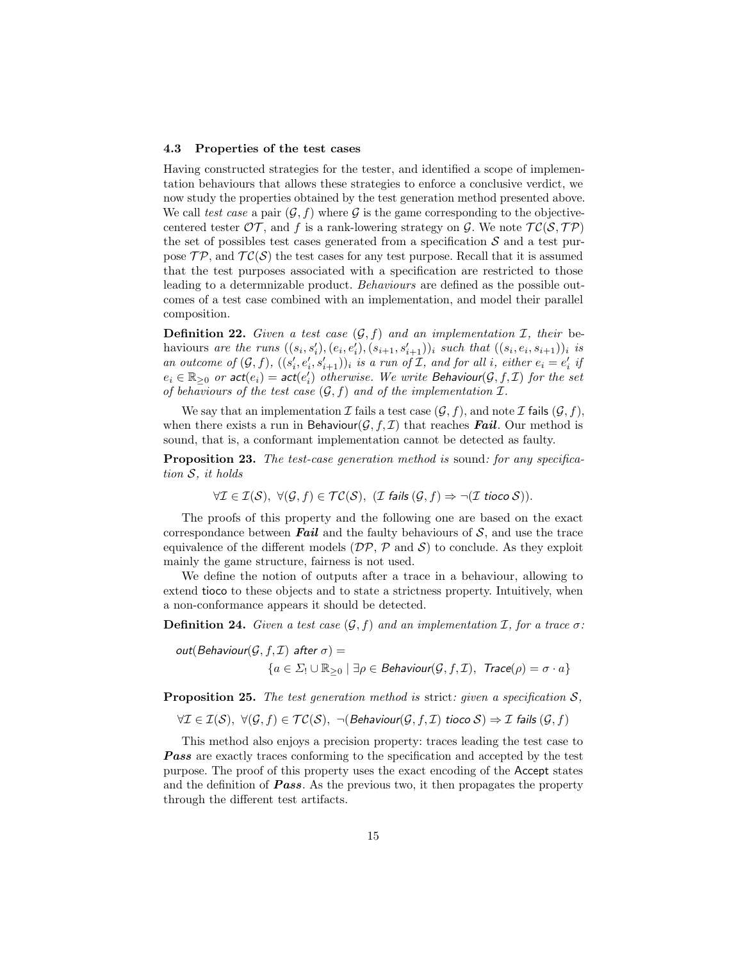#### 4.3 Properties of the test cases

Having constructed strategies for the tester, and identified a scope of implementation behaviours that allows these strategies to enforce a conclusive verdict, we now study the properties obtained by the test generation method presented above. We call test case a pair  $(\mathcal{G}, f)$  where  $\mathcal G$  is the game corresponding to the objectivecentered tester  $\mathcal{OT}$ , and f is a rank-lowering strategy on G. We note  $\mathcal{TC}(S, \mathcal{TP})$ the set of possibles test cases generated from a specification  $S$  and a test purpose  $\mathcal{TP}$ , and  $\mathcal{TC}(S)$  the test cases for any test purpose. Recall that it is assumed that the test purposes associated with a specification are restricted to those leading to a determnizable product. Behaviours are defined as the possible outcomes of a test case combined with an implementation, and model their parallel composition.

**Definition 22.** Given a test case  $(G, f)$  and an implementation  $\mathcal{I}$ , their behaviours are the runs  $((s_i, s'_i), (e_i, e'_i), (s_{i+1}, s'_{i+1}))_i$  such that  $((s_i, e_i, s_{i+1}))_i$  is an outcome of  $(G, f)$ ,  $((s'_i, e'_i, s'_{i+1}))_i$  is a run of  $\mathcal I$ , and for all i, either  $e_i = e'_i$  if  $e_i \in \mathbb{R}_{\geq 0}$  or  $\textsf{act}(e_i) = \textsf{act}(e_i')$  otherwise. We write Behaviour $(\mathcal{G}, f, \mathcal{I})$  for the set of behaviours of the test case  $(\mathcal{G}, f)$  and of the implementation  $\mathcal{I}.$ 

We say that an implementation  $\mathcal I$  fails a test case  $(\mathcal G, f)$ , and note  $\mathcal I$  fails  $(\mathcal G, f)$ , when there exists a run in Behaviour( $G, f, \mathcal{I}$ ) that reaches **Fail**. Our method is sound, that is, a conformant implementation cannot be detected as faulty.

Proposition 23. The test-case generation method is sound: for any specification  $S$ , it holds

 $\forall \mathcal{I} \in \mathcal{I}(\mathcal{S}), \ \forall (\mathcal{G}, f) \in \mathcal{I}(\mathcal{C}|\mathcal{S}), \ (\mathcal{I} \text{ fails } (\mathcal{G}, f) \Rightarrow \neg(\mathcal{I} \text{ tioco } \mathcal{S})).$ 

The proofs of this property and the following one are based on the exact correspondance between **Fail** and the faulty behaviours of  $S$ , and use the trace equivalence of the different models  $(\mathcal{DP}, \mathcal{P} \text{ and } \mathcal{S})$  to conclude. As they exploit mainly the game structure, fairness is not used.

We define the notion of outputs after a trace in a behaviour, allowing to extend tioco to these objects and to state a strictness property. Intuitively, when a non-conformance appears it should be detected.

**Definition 24.** Given a test case  $(\mathcal{G}, f)$  and an implementation  $\mathcal{I}$ , for a trace  $\sigma$ :

out(Behaviour( $\mathcal{G}, f, \mathcal{I}$ ) after  $\sigma$ ) =  ${a \in \Sigma_1 \cup \mathbb{R}_{\geq 0} \mid \exists \rho \in \text{Behavior}(G, f, \mathcal{I}), \text{ Trace}(\rho) = \sigma \cdot a}$ 

**Proposition 25.** The test generation method is strict: given a specification  $S$ .

 $\forall \mathcal{I} \in \mathcal{I}(\mathcal{S}), \ \forall (\mathcal{G}, f) \in \mathcal{TC}(\mathcal{S}), \ \neg(\mathsf{Behavior}(\mathcal{G}, f, \mathcal{I}) \ \mathsf{t} \text{ioco} \ \mathcal{S}) \Rightarrow \mathcal{I} \ \mathsf{fails} \ (\mathcal{G}, f)$ 

This method also enjoys a precision property: traces leading the test case to **Pass** are exactly traces conforming to the specification and accepted by the test purpose. The proof of this property uses the exact encoding of the Accept states and the definition of **Pass**. As the previous two, it then propagates the property through the different test artifacts.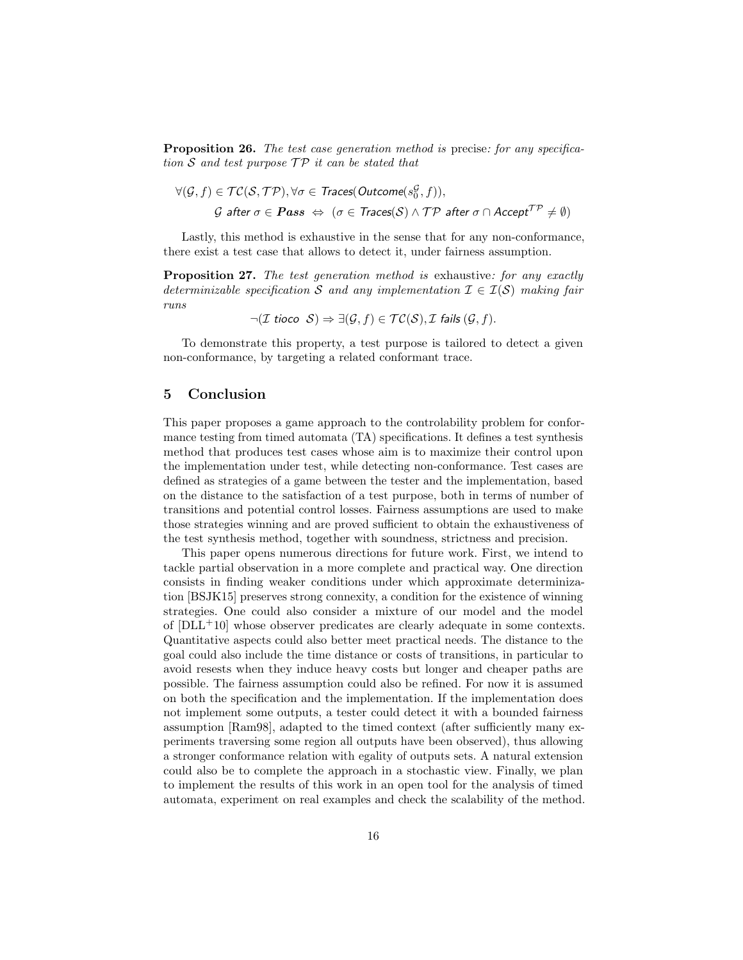**Proposition 26.** The test case generation method is precise: for any specification S and test purpose  $\mathcal{TP}$  it can be stated that

$$
\forall (\mathcal{G}, f) \in \mathcal{TC}(\mathcal{S}, \mathcal{TP}), \forall \sigma \in \mathit{Traces}(\mathit{Outcome}(s_0^{\mathcal{G}}, f)),
$$
  

$$
\mathcal{G} \text{ after } \sigma \in \mathit{Pass} \Leftrightarrow (\sigma \in \mathit{Traces}(\mathcal{S}) \land \mathcal{TP} \text{ after } \sigma \cap \mathit{Accept}^{\mathcal{TP}} \neq \emptyset)
$$

Lastly, this method is exhaustive in the sense that for any non-conformance, there exist a test case that allows to detect it, under fairness assumption.

Proposition 27. The test generation method is exhaustive: for any exactly determinizable specification S and any implementation  $\mathcal{I} \in \mathcal{I}(\mathcal{S})$  making fair runs

$$
\neg(\mathcal{I} \text{ tioco } \mathcal{S}) \Rightarrow \exists (\mathcal{G}, f) \in \mathcal{TC}(\mathcal{S}), \mathcal{I} \text{ fails } (\mathcal{G}, f).
$$

To demonstrate this property, a test purpose is tailored to detect a given non-conformance, by targeting a related conformant trace.

### 5 Conclusion

This paper proposes a game approach to the controlability problem for conformance testing from timed automata (TA) specifications. It defines a test synthesis method that produces test cases whose aim is to maximize their control upon the implementation under test, while detecting non-conformance. Test cases are defined as strategies of a game between the tester and the implementation, based on the distance to the satisfaction of a test purpose, both in terms of number of transitions and potential control losses. Fairness assumptions are used to make those strategies winning and are proved sufficient to obtain the exhaustiveness of the test synthesis method, together with soundness, strictness and precision.

This paper opens numerous directions for future work. First, we intend to tackle partial observation in a more complete and practical way. One direction consists in finding weaker conditions under which approximate determinization [BSJK15] preserves strong connexity, a condition for the existence of winning strategies. One could also consider a mixture of our model and the model of  $[DLL+10]$  whose observer predicates are clearly adequate in some contexts. Quantitative aspects could also better meet practical needs. The distance to the goal could also include the time distance or costs of transitions, in particular to avoid resests when they induce heavy costs but longer and cheaper paths are possible. The fairness assumption could also be refined. For now it is assumed on both the specification and the implementation. If the implementation does not implement some outputs, a tester could detect it with a bounded fairness assumption [Ram98], adapted to the timed context (after sufficiently many experiments traversing some region all outputs have been observed), thus allowing a stronger conformance relation with egality of outputs sets. A natural extension could also be to complete the approach in a stochastic view. Finally, we plan to implement the results of this work in an open tool for the analysis of timed automata, experiment on real examples and check the scalability of the method.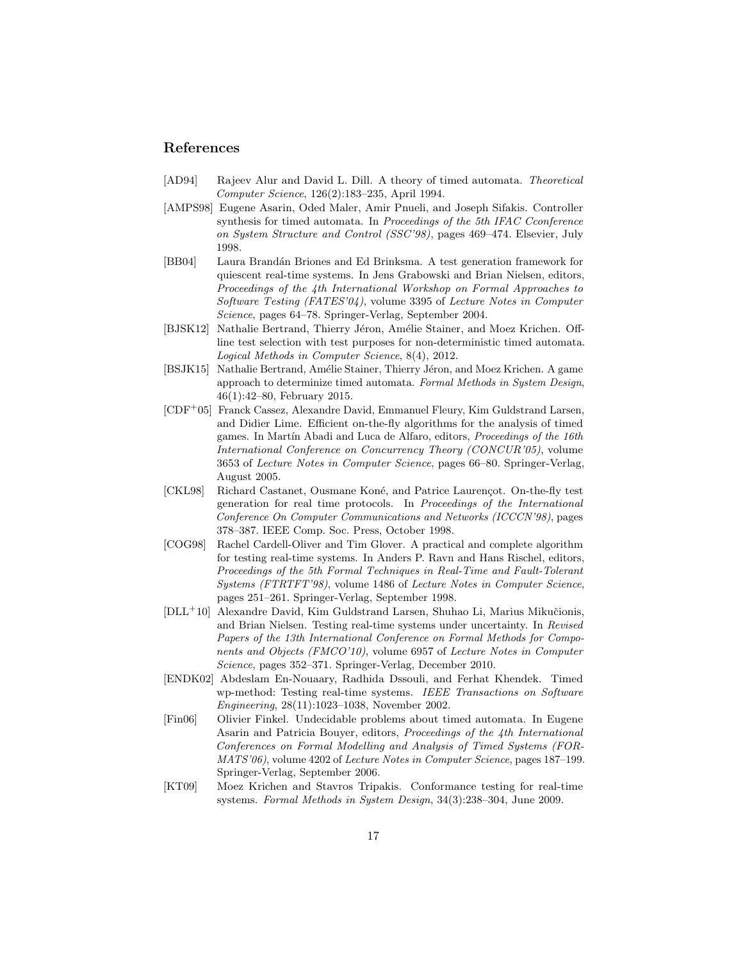### References

- [AD94] Rajeev Alur and David L. Dill. A theory of timed automata. Theoretical Computer Science, 126(2):183–235, April 1994.
- [AMPS98] Eugene Asarin, Oded Maler, Amir Pnueli, and Joseph Sifakis. Controller synthesis for timed automata. In Proceedings of the 5th IFAC Cconference on System Structure and Control (SSC'98), pages 469–474. Elsevier, July 1998.
- [BB04] Laura Brandán Briones and Ed Brinksma. A test generation framework for quiescent real-time systems. In Jens Grabowski and Brian Nielsen, editors, Proceedings of the 4th International Workshop on Formal Approaches to Software Testing (FATES'04), volume 3395 of Lecture Notes in Computer Science, pages 64–78. Springer-Verlag, September 2004.
- [BJSK12] Nathalie Bertrand, Thierry Jéron, Amélie Stainer, and Moez Krichen. Offline test selection with test purposes for non-deterministic timed automata. Logical Methods in Computer Science, 8(4), 2012.
- [BSJK15] Nathalie Bertrand, Amélie Stainer, Thierry Jéron, and Moez Krichen. A game approach to determinize timed automata. Formal Methods in System Design, 46(1):42–80, February 2015.
- [CDF<sup>+</sup>05] Franck Cassez, Alexandre David, Emmanuel Fleury, Kim Guldstrand Larsen, and Didier Lime. Efficient on-the-fly algorithms for the analysis of timed games. In Martín Abadi and Luca de Alfaro, editors, Proceedings of the 16th International Conference on Concurrency Theory (CONCUR'05), volume 3653 of Lecture Notes in Computer Science, pages 66–80. Springer-Verlag, August 2005.
- [CKL98] Richard Castanet, Ousmane Koné, and Patrice Laurençot. On-the-fly test generation for real time protocols. In Proceedings of the International Conference On Computer Communications and Networks (ICCCN'98), pages 378–387. IEEE Comp. Soc. Press, October 1998.
- [COG98] Rachel Cardell-Oliver and Tim Glover. A practical and complete algorithm for testing real-time systems. In Anders P. Ravn and Hans Rischel, editors, Proceedings of the 5th Formal Techniques in Real-Time and Fault-Tolerant Systems (FTRTFT'98), volume 1486 of Lecture Notes in Computer Science, pages 251–261. Springer-Verlag, September 1998.
- [DLL<sup>+</sup>10] Alexandre David, Kim Guldstrand Larsen, Shuhao Li, Marius Mikuˇcionis, and Brian Nielsen. Testing real-time systems under uncertainty. In Revised Papers of the 13th International Conference on Formal Methods for Components and Objects (FMCO'10), volume 6957 of Lecture Notes in Computer Science, pages 352–371. Springer-Verlag, December 2010.
- [ENDK02] Abdeslam En-Nouaary, Radhida Dssouli, and Ferhat Khendek. Timed wp-method: Testing real-time systems. IEEE Transactions on Software Engineering, 28(11):1023–1038, November 2002.
- [Fin06] Olivier Finkel. Undecidable problems about timed automata. In Eugene Asarin and Patricia Bouyer, editors, Proceedings of the 4th International Conferences on Formal Modelling and Analysis of Timed Systems (FOR-MATS'06), volume 4202 of Lecture Notes in Computer Science, pages 187–199. Springer-Verlag, September 2006.
- [KT09] Moez Krichen and Stavros Tripakis. Conformance testing for real-time systems. Formal Methods in System Design, 34(3):238–304, June 2009.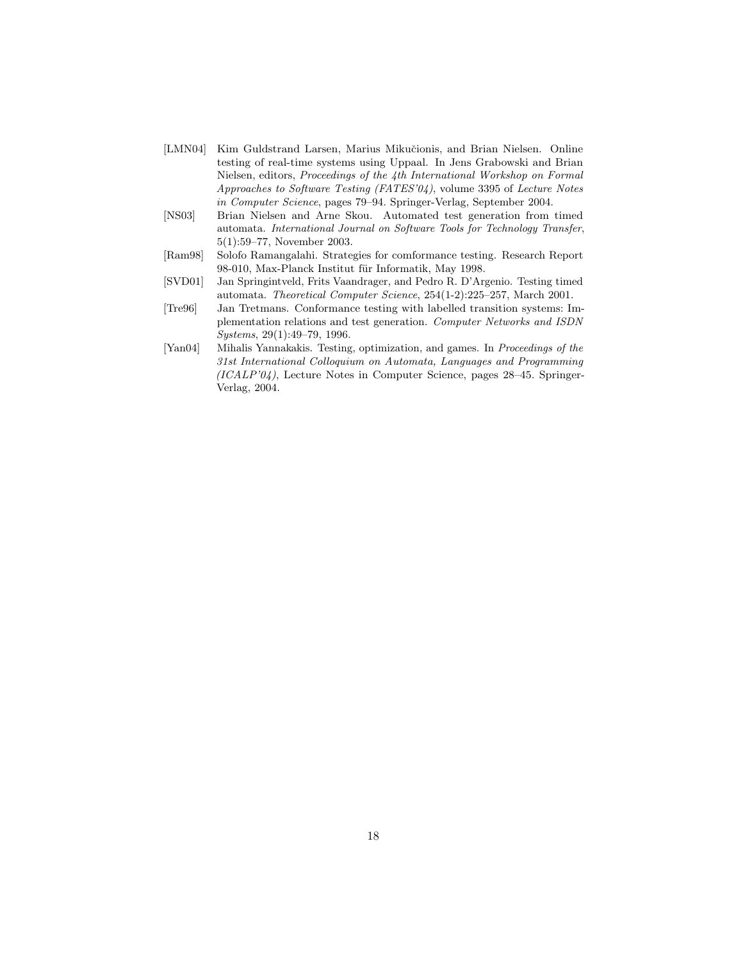- [LMN04] Kim Guldstrand Larsen, Marius Mikučionis, and Brian Nielsen. Online testing of real-time systems using Uppaal. In Jens Grabowski and Brian Nielsen, editors, Proceedings of the 4th International Workshop on Formal Approaches to Software Testing (FATES'04), volume 3395 of Lecture Notes in Computer Science, pages 79–94. Springer-Verlag, September 2004.
- [NS03] Brian Nielsen and Arne Skou. Automated test generation from timed automata. International Journal on Software Tools for Technology Transfer, 5(1):59–77, November 2003.
- [Ram98] Solofo Ramangalahi. Strategies for comformance testing. Research Report 98-010, Max-Planck Institut für Informatik, May 1998.
- [SVD01] Jan Springintveld, Frits Vaandrager, and Pedro R. D'Argenio. Testing timed automata. Theoretical Computer Science, 254(1-2):225–257, March 2001.
- [Tre96] Jan Tretmans. Conformance testing with labelled transition systems: Implementation relations and test generation. Computer Networks and ISDN Systems, 29(1):49–79, 1996.
- [Yan04] Mihalis Yannakakis. Testing, optimization, and games. In Proceedings of the 31st International Colloquium on Automata, Languages and Programming (ICALP'04), Lecture Notes in Computer Science, pages 28–45. Springer-Verlag, 2004.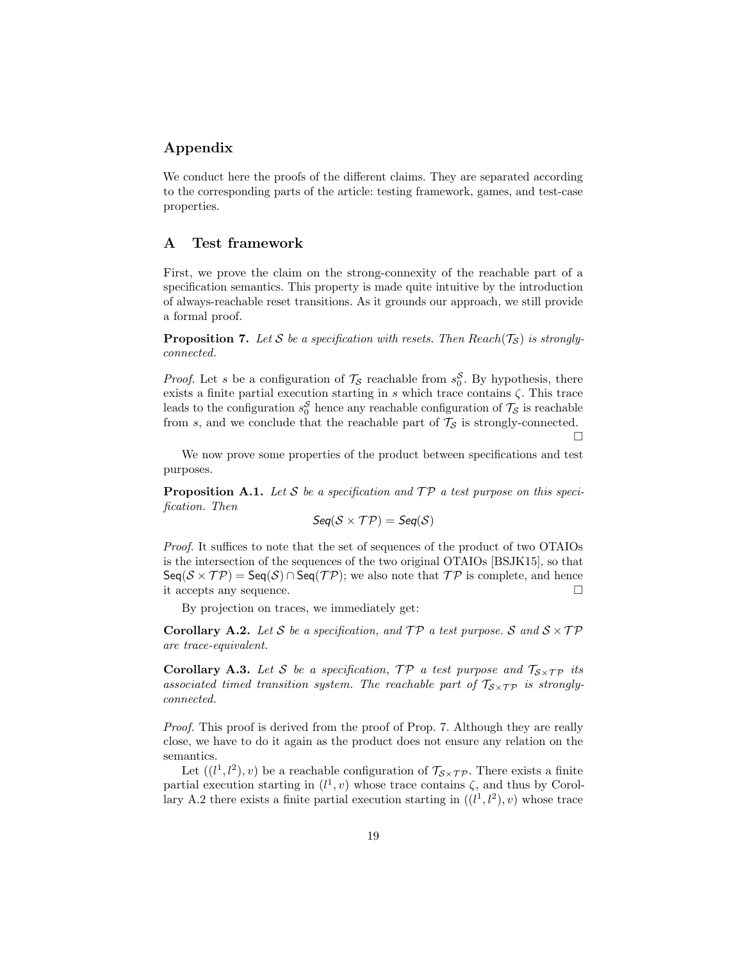# Appendix

We conduct here the proofs of the different claims. They are separated according to the corresponding parts of the article: testing framework, games, and test-case properties.

# A Test framework

First, we prove the claim on the strong-connexity of the reachable part of a specification semantics. This property is made quite intuitive by the introduction of always-reachable reset transitions. As it grounds our approach, we still provide a formal proof.

**Proposition 7.** Let S be a specification with resets. Then  $Reach(\mathcal{T}_{\mathcal{S}})$  is stronglyconnected.

*Proof.* Let s be a configuration of  $\mathcal{T}_{\mathcal{S}}$  reachable from  $s_0^{\mathcal{S}}$ . By hypothesis, there exists a finite partial execution starting in  $s$  which trace contains  $\zeta$ . This trace leads to the configuration  $s_0^{\mathcal{S}}$  hence any reachable configuration of  $\mathcal{T}_{\mathcal{S}}$  is reachable from s, and we conclude that the reachable part of  $\mathcal{T}_{\mathcal{S}}$  is strongly-connected.

 $\Box$ 

We now prove some properties of the product between specifications and test purposes.

**Proposition A.1.** Let S be a specification and  $\mathcal{TP}$  a test purpose on this specification. Then

$$
Seq(\mathcal{S} \times \mathcal{TP}) = Seq(\mathcal{S})
$$

Proof. It suffices to note that the set of sequences of the product of two OTAIOs is the intersection of the sequences of the two original OTAIOs [BSJK15], so that  $\operatorname{Seq}(\mathcal{S} \times \mathcal{TP}) = \operatorname{Seq}(\mathcal{S}) \cap \operatorname{Seq}(\mathcal{TP})$ ; we also note that  $\mathcal{TP}$  is complete, and hence it accepts any sequence.

By projection on traces, we immediately get:

**Corollary A.2.** Let S be a specification, and  $\mathcal{TP}$  a test purpose. S and  $S \times \mathcal{TP}$ are trace-equivalent.

Corollary A.3. Let S be a specification,  $\mathcal{TP}$  a test purpose and  $\mathcal{T}_{S\times \mathcal{TP}}$  its associated timed transition system. The reachable part of  $\mathcal{T}_{S\times \mathcal{T}P}$  is stronglyconnected.

Proof. This proof is derived from the proof of Prop. 7. Although they are really close, we have to do it again as the product does not ensure any relation on the semantics.

Let  $((l^1, l^2), v)$  be a reachable configuration of  $\mathcal{T}_{\mathcal{S}\times\mathcal{TP}}$ . There exists a finite partial execution starting in  $(l^1, v)$  whose trace contains  $\zeta$ , and thus by Corollary A.2 there exists a finite partial execution starting in  $((l<sup>1</sup>, l<sup>2</sup>), v)$  whose trace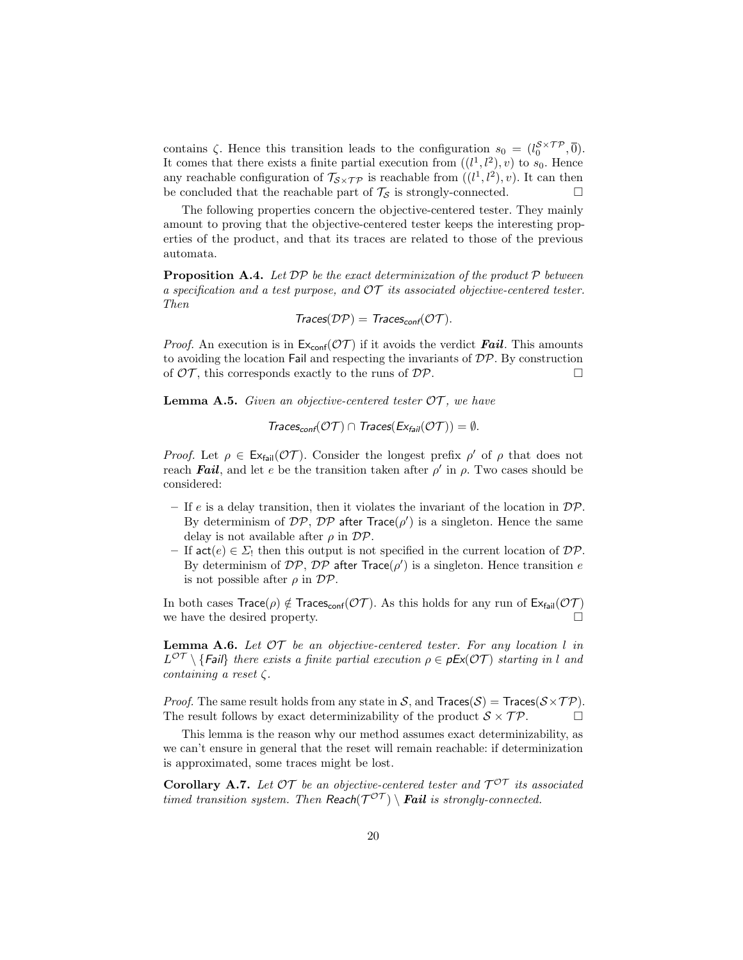contains  $\zeta$ . Hence this transition leads to the configuration  $s_0 = (l_0^{\mathcal{S} \times \mathcal{TP}}, \overline{0}).$ It comes that there exists a finite partial execution from  $((l<sup>1</sup>, l<sup>2</sup>), v)$  to  $s<sub>0</sub>$ . Hence any reachable configuration of  $\mathcal{T}_{\mathcal{S}\times\mathcal{TP}}$  is reachable from  $((l^1, l^2), v)$ . It can then be concluded that the reachable part of  $\mathcal{T}_{\mathcal{S}}$  is strongly-connected.

The following properties concern the objective-centered tester. They mainly amount to proving that the objective-centered tester keeps the interesting properties of the product, and that its traces are related to those of the previous automata.

**Proposition A.4.** Let  $DP$  be the exact determinization of the product  $P$  between a specification and a test purpose, and  $\mathcal{OT}$  its associated objective-centered tester. Then

$$
Traces(\mathcal{DP}) = Traces_{conf}(\mathcal{OT}).
$$

*Proof.* An execution is in  $E_{\text{conf}}(\mathcal{OT})$  if it avoids the verdict **Fail**. This amounts to avoiding the location Fail and respecting the invariants of  $\mathcal{DP}$ . By construction of  $\mathcal{OT}$ , this corresponds exactly to the runs of  $\mathcal{DP}$ .

**Lemma A.5.** Given an objective-centered tester  $OT$ , we have

 $Traces_{conf}(\mathcal{OT}) \cap Traces(Ex_{fail}(\mathcal{OT})) = \emptyset.$ 

Proof. Let  $\rho \in \mathsf{Ex}_{\mathsf{fail}}(\mathcal{OT})$ . Consider the longest prefix  $\rho'$  of  $\rho$  that does not reach **Fail**, and let e be the transition taken after  $\rho'$  in  $\rho$ . Two cases should be considered:

- If e is a delay transition, then it violates the invariant of the location in  $\mathcal{DP}$ . By determinism of  $DP$ ,  $DP$  after  $Trace(\rho')$  is a singleton. Hence the same delay is not available after  $\rho$  in  $\mathcal{DP}$ .
- If  $\text{act}(e) \in \Sigma_1$  then this output is not specified in the current location of  $\mathcal{DP}$ . By determinism of  $DP$ ,  $DP$  after  $Trace(\rho')$  is a singleton. Hence transition e is not possible after  $\rho$  in  $\mathcal{DP}$ .

In both cases  $Trace(\rho) \notin Trace_{conf}(\mathcal{OT})$ . As this holds for any run of  $Ex_{fail}(\mathcal{OT})$ we have the desired property.

**Lemma A.6.** Let  $OT$  be an objective-centered tester. For any location  $l$  in  $L^{OT} \setminus {\text{fail}}$  there exists a finite partial execution  $\rho \in \mathsf{pEx}(\mathcal{OT})$  starting in l and containing a reset  $\zeta$ .

*Proof.* The same result holds from any state in S, and  $Traces(S) = Traces(S \times \mathcal{TP})$ . The result follows by exact determinizability of the product  $S \times \mathcal{TP}$ .

This lemma is the reason why our method assumes exact determinizability, as we can't ensure in general that the reset will remain reachable: if determinization is approximated, some traces might be lost.

**Corollary A.7.** Let  $OT$  be an objective-centered tester and  $T^{OT}$  its associated timed transition system. Then Reach $(\mathcal{T}^{\mathcal{OT}}) \setminus \textbf{fail}$  is strongly-connected.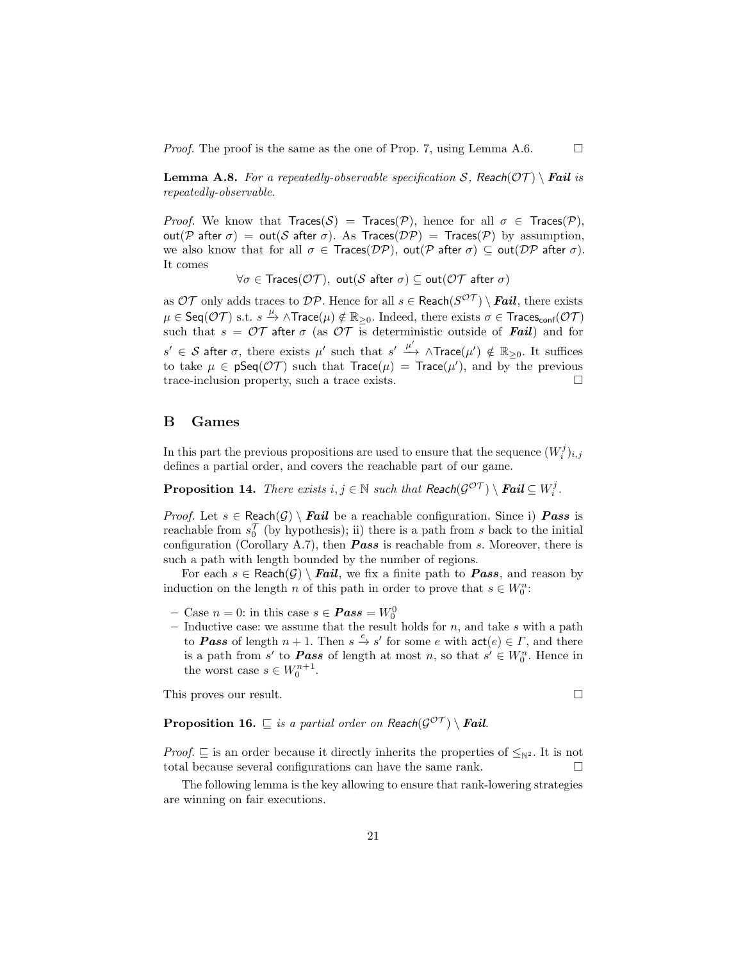*Proof.* The proof is the same as the one of Prop. 7, using Lemma A.6.  $\Box$ 

**Lemma A.8.** For a repeatedly-observable specification S, Reach( $OT$ ) \ Fail is repeatedly-observable.

*Proof.* We know that  $Trace(S) = Trace(P)$ , hence for all  $\sigma \in Trace(P)$ , out(P after  $\sigma$ ) = out(S after  $\sigma$ ). As Traces(DP) = Traces(P) by assumption, we also know that for all  $\sigma \in \text{Traces}(\mathcal{DP})$ , out( $\mathcal P$  after  $\sigma$ )  $\subseteq$  out( $\mathcal{DP}$  after  $\sigma$ ). It comes

 $\forall \sigma \in \text{Traces}(\mathcal{OT})$ , out $(\mathcal{S}$  after  $\sigma) \subseteq \text{out}(\mathcal{OT})$  after  $\sigma)$ 

as  $\mathcal{OT}$  only adds traces to  $\mathcal{DP}$ . Hence for all  $s \in \text{Reach}(S^{\mathcal{OT}}) \setminus \textit{Tail}$ , there exists  $\mu\in \mathsf{Seq}(\mathcal{OT}) \text{ s.t. } s \xrightarrow{\mu} \wedge \mathsf{Trace}(\mu) \notin \mathbb{R}_{\geq 0}.$  Indeed, there exists  $\sigma\in \mathsf{Traces}_{\mathsf{conf}}(\mathcal{OT})$ such that  $s = \mathcal{OT}$  after  $\sigma$  (as  $\mathcal{OT}$  is deterministic outside of **Fail**) and for  $s' \in S$  after  $\sigma$ , there exists  $\mu'$  such that  $s' \stackrel{\mu'}{\longrightarrow} \wedge \text{Trace}(\mu') \notin \mathbb{R}_{\geq 0}$ . It suffices to take  $\mu \in pSeq(\mathcal{OT})$  such that  $Trace(\mu) = Trace(\mu')$ , and by the previous trace-inclusion property, such a trace exists.

### B Games

In this part the previous propositions are used to ensure that the sequence  $(W_i^j)_{i,j}$ defines a partial order, and covers the reachable part of our game.

**Proposition 14.** There exists  $i, j \in \mathbb{N}$  such that  $\mathsf{Reach}(\mathcal{G}^{\mathcal{OT}}) \setminus \mathit{Fall} \subseteq W_i^j$ .

*Proof.* Let  $s \in \text{Reach}(\mathcal{G}) \setminus \text{Tail}$  be a reachable configuration. Since i) **Pass** is reachable from  $s_0^{\mathcal{T}}$  (by hypothesis); ii) there is a path from s back to the initial configuration (Corollary A.7), then **Pass** is reachable from s. Moreover, there is such a path with length bounded by the number of regions.

For each  $s \in$  Reach $(\mathcal{G}) \setminus \textit{Tail}$ , we fix a finite path to **Pass**, and reason by induction on the length n of this path in order to prove that  $s \in W_0^n$ :

- Case  $n = 0$ : in this case  $s \in \text{Pass} = W_0^0$
- Inductive case: we assume that the result holds for  $n$ , and take  $s$  with a path to **Pass** of length  $n + 1$ . Then  $s \stackrel{e}{\to} s'$  for some e with  $act(e) \in \Gamma$ , and there is a path from s' to **Pass** of length at most n, so that  $s' \in W_0^n$ . Hence in the worst case  $s \in W_0^{n+1}$ .

This proves our result.

# **Proposition 16.**  $\sqsubseteq$  is a partial order on Reach( $\mathcal{G}^{\mathcal{OT}}$ ) \ **Fail.**

*Proof.*  $\subseteq$  is an order because it directly inherits the properties of  $\leq_{N^2}$ . It is not total because several configurations can have the same rank.

The following lemma is the key allowing to ensure that rank-lowering strategies are winning on fair executions.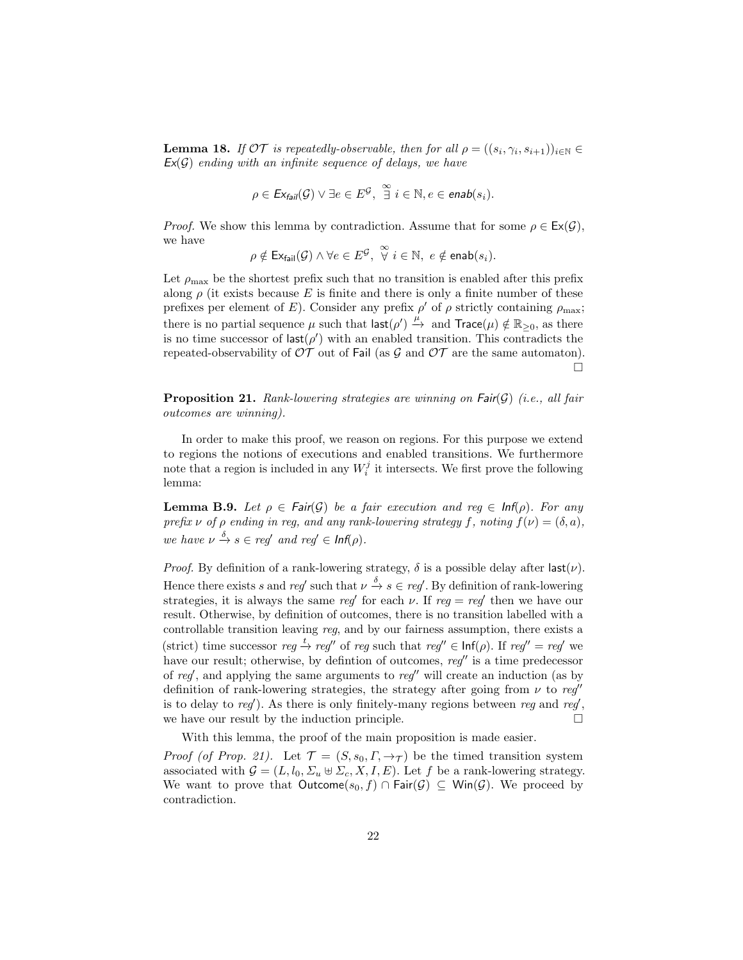**Lemma 18.** If  $\mathcal{OT}$  is repeatedly-observable, then for all  $\rho = ((s_i, \gamma_i, s_{i+1}))_{i \in \mathbb{N}} \in$  $\mathsf{Ex}(\mathcal{G})$  ending with an infinite sequence of delays, we have

$$
\rho \in \mathsf{Ex}_{\mathsf{fail}}(\mathcal{G}) \vee \exists e \in E^{\mathcal{G}}, \ \exists i \in \mathbb{N}, e \in \mathsf{enab}(s_i).
$$

*Proof.* We show this lemma by contradiction. Assume that for some  $\rho \in \mathsf{Ex}(\mathcal{G})$ , we have ∞

$$
\rho \notin \mathsf{Ex}_{\mathsf{fail}}(\mathcal{G}) \land \forall e \in E^{\mathcal{G}}, \ \forall i \in \mathbb{N}, \ e \notin \mathsf{enab}(s_i).
$$

Let  $\rho_{\text{max}}$  be the shortest prefix such that no transition is enabled after this prefix along  $\rho$  (it exists because E is finite and there is only a finite number of these prefixes per element of E). Consider any prefix  $\rho'$  of  $\rho$  strictly containing  $\rho_{\text{max}}$ ; there is no partial sequence  $\mu$  such that  $\mathsf{last}(\rho') \stackrel{\mu}{\to} \text{ and } \mathsf{Trace}(\mu) \notin \mathbb{R}_{\geq 0}$ , as there is no time successor of  $\textsf{last}(\rho')$  with an enabled transition. This contradicts the repeated-observability of  $\mathcal{OT}$  out of Fail (as  $\mathcal G$  and  $\mathcal{OT}$  are the same automaton).  $\Box$ 

**Proposition 21.** Rank-lowering strategies are winning on  $\text{Fair}(\mathcal{G})$  (i.e., all fair outcomes are winning).

In order to make this proof, we reason on regions. For this purpose we extend to regions the notions of executions and enabled transitions. We furthermore note that a region is included in any  $W_i^j$  it intersects. We first prove the following lemma:

**Lemma B.9.** Let  $\rho \in \text{Fair}(\mathcal{G})$  be a fair execution and reg  $\in \text{Inf}(\rho)$ . For any prefix  $\nu$  of  $\rho$  ending in reg, and any rank-lowering strategy f, noting  $f(\nu) = (\delta, a)$ , we have  $\nu \stackrel{\delta}{\rightarrow} s \in \text{reg}'$  and  $\text{reg}' \in \text{Inf}(\rho)$ .

*Proof.* By definition of a rank-lowering strategy,  $\delta$  is a possible delay after last( $\nu$ ). Hence there exists s and reg' such that  $\nu \stackrel{\delta}{\rightarrow} s \in \text{reg'}$ . By definition of rank-lowering strategies, it is always the same reg' for each  $\nu$ . If reg = reg' then we have our result. Otherwise, by definition of outcomes, there is no transition labelled with a controllable transition leaving reg, and by our fairness assumption, there exists a (strict) time successor  $reg \stackrel{t}{\rightarrow} reg''$  of reg such that  $reg'' \in \text{Inf}(\rho)$ . If  $reg'' = reg'$  we have our result; otherwise, by defintion of outcomes,  $reg''$  is a time predecessor of reg, and applying the same arguments to reg'' will create an induction (as by definition of rank-lowering strategies, the strategy after going from  $\nu$  to reg<sup>"</sup> is to delay to reg'). As there is only finitely-many regions between reg and reg', we have our result by the induction principle.  $\Box$ 

With this lemma, the proof of the main proposition is made easier.

*Proof (of Prop. 21).* Let  $\mathcal{T} = (S, s_0, \Gamma, \rightarrow_{\mathcal{T}})$  be the timed transition system associated with  $\mathcal{G} = (L, l_0, \Sigma_u \cup \Sigma_c, X, I, E)$ . Let f be a rank-lowering strategy. We want to prove that  $\textsf{Outcome}(s_0, f) \cap \textsf{Fair}(\mathcal{G}) \subseteq \textsf{Win}(\mathcal{G})$ . We proceed by contradiction.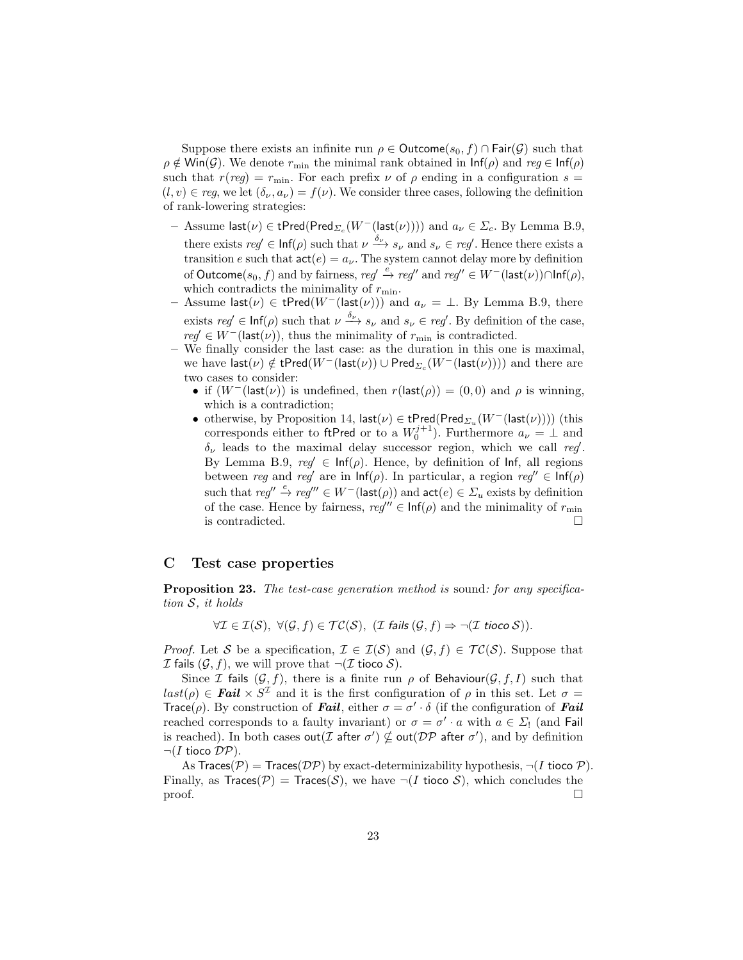Suppose there exists an infinite run  $\rho \in$  Outcome $(s_0, f) \cap$  Fair $(\mathcal{G})$  such that  $\rho \notin \text{Win}(\mathcal{G})$ . We denote  $r_{\min}$  the minimal rank obtained in  $\text{Inf}(\rho)$  and  $reg \in \text{Inf}(\rho)$ such that  $r(reg) = r_{\min}$ . For each prefix  $\nu$  of  $\rho$  ending in a configuration  $s =$  $(l, v) \in reg$ , we let  $(\delta_{\nu}, a_{\nu}) = f(\nu)$ . We consider three cases, following the definition of rank-lowering strategies:

- Assume last( $ν$ ) ∈ tPred(Pred<sub>Σc</sub>( $W^-$ (last( $ν$ )))) and  $a_ν ∈ Σ_c$ . By Lemma B.9, there exists  $reg' \in \text{Inf}(\rho)$  such that  $\nu \xrightarrow{\delta_{\nu}} s_{\nu}$  and  $s_{\nu} \in reg'$ . Hence there exists a transition e such that  $act(e) = a_{\nu}$ . The system cannot delay more by definition of Outcome $(s_0, f)$  and by fairness,  $reg' \stackrel{e}{\rightarrow} reg''$  and  $reg'' \in W^-(\mathsf{last}(v)) \cap \mathsf{Inf}(\rho)$ , which contradicts the minimality of  $r_{\min}$ .
- Assume last( $\nu$ ) ∈ tPred( $W^{-}$ (last( $\nu$ ))) and  $a_{\nu} = \bot$ . By Lemma B.9, there exists  $reg' \in \text{Inf}(\rho)$  such that  $\nu \xrightarrow{\delta_{\nu}} s_{\nu}$  and  $s_{\nu} \in reg'$ . By definition of the case,  $req \in W^-(\mathsf{last}(\nu))$ , thus the minimality of  $r_{\min}$  is contradicted.
- We finally consider the last case: as the duration in this one is maximal, we have last $(\nu) \notin \mathsf{tPred}(W^-(\mathsf{last}(\nu))) \cup \mathsf{Pred}_{\Sigma_c}(W^-(\mathsf{last}(\nu))) )$  and there are two cases to consider:
	- if  $(W^-(\text{last}(\nu))$  is undefined, then  $r(\text{last}(\rho)) = (0,0)$  and  $\rho$  is winning, which is a contradiction;
	- otherwise, by Proposition 14,  $\mathsf{last}(\nu) \in \mathsf{tPred}(\mathsf{Pred}_{\Sigma_u}(W^-(\mathsf{last}(\nu))))$  (this corresponds either to ftPred or to a  $W_0^{j+1}$ ). Furthermore  $a_{\nu} = \perp$  and  $\delta_{\nu}$  leads to the maximal delay successor region, which we call reg. By Lemma B.9,  $reg' \in \text{Inf}(\rho)$ . Hence, by definition of Inf, all regions between reg and reg' are in  $\text{Inf}(\rho)$ . In particular, a region reg''  $\in \text{Inf}(\rho)$ such that reg<sup> $\theta' \stackrel{e}{\rightarrow} \text{reg}'' \in W^-(\text{last}(\rho))$  and  $\text{act}(e) \in \Sigma_u$  exists by definition</sup> of the case. Hence by fairness,  $reg''' \in \text{Inf}(\rho)$  and the minimality of  $r_{\min}$ is contradicted.

### C Test case properties

**Proposition 23.** The test-case generation method is sound: for any specification S, it holds

$$
\forall \mathcal{I} \in \mathcal{I}(\mathcal{S}), \ \forall (\mathcal{G}, f) \in \mathcal{TC}(\mathcal{S}), \ (\mathcal{I} \ \text{fails} \ (\mathcal{G}, f) \Rightarrow \neg(\mathcal{I} \ \text{tioco} \ \mathcal{S})).
$$

*Proof.* Let S be a specification,  $\mathcal{I} \in \mathcal{I}(\mathcal{S})$  and  $(\mathcal{G}, f) \in \mathcal{I}(\mathcal{S})$ . Suppose that  $\mathcal I$  fails  $(\mathcal G, f)$ , we will prove that  $\neg(\mathcal I)$  tioco  $\mathcal S)$ .

Since *I* fails  $(G, f)$ , there is a finite run  $\rho$  of Behaviour $(G, f, I)$  such that  $last(\rho) \in \text{Tail} \times S^{\mathcal{I}}$  and it is the first configuration of  $\rho$  in this set. Let  $\sigma =$ Trace( $\rho$ ). By construction of **Fail**, either  $\sigma = \sigma' \cdot \delta$  (if the configuration of **Fail** reached corresponds to a faulty invariant) or  $\sigma = \sigma' \cdot a$  with  $a \in \Sigma_1$  (and Fail is reached). In both cases  $\mathsf{out}(\mathcal{I}$  after  $\sigma') \nsubseteq \mathsf{out}(\mathcal{DP}$  after  $\sigma'),$  and by definition  $\neg(I \text{ tioco } \mathcal{DP})$ .

As Traces( $P$ ) = Traces( $D\mathcal{P}$ ) by exact-determinizability hypothesis,  $\neg (I \text{ tioco } \mathcal{P})$ . Finally, as  $Trace(\mathcal{P}) = Trace(\mathcal{S})$ , we have  $\neg(I \text{ tioco }\mathcal{S})$ , which concludes the  $\Box$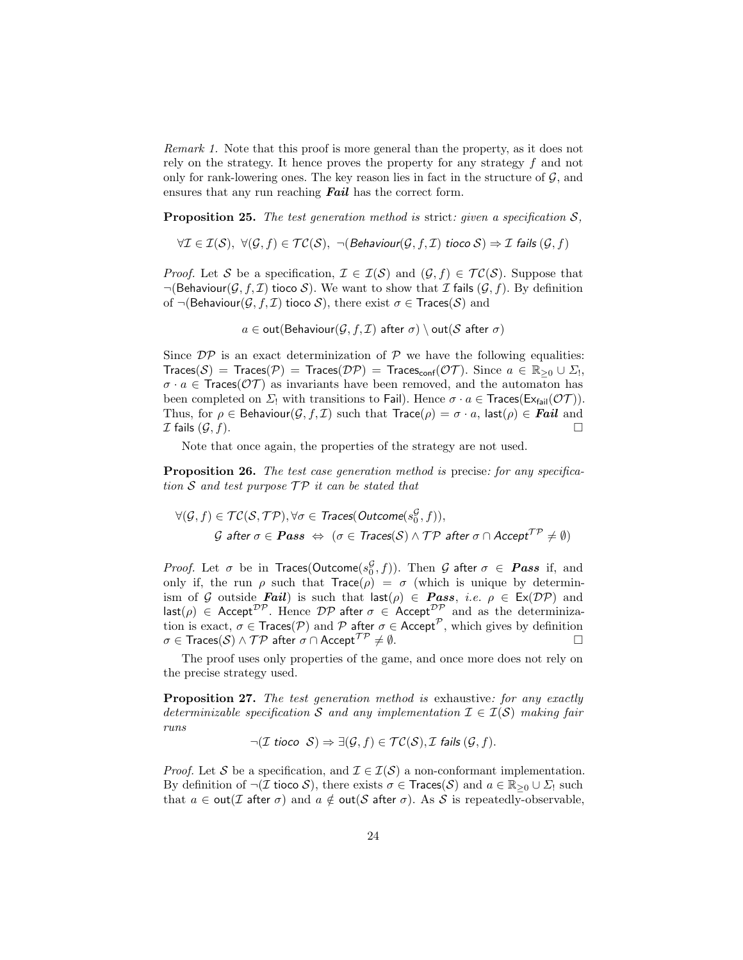Remark 1. Note that this proof is more general than the property, as it does not rely on the strategy. It hence proves the property for any strategy  $f$  and not only for rank-lowering ones. The key reason lies in fact in the structure of  $\mathcal{G}$ , and ensures that any run reaching Fail has the correct form.

**Proposition 25.** The test generation method is strict: given a specification  $S$ .

 $\forall \mathcal{I} \in \mathcal{I}(\mathcal{S}), \ \forall (\mathcal{G}, f) \in \mathcal{TC}(\mathcal{S}), \ \neg(\mathsf{Behavior}(\mathcal{G}, f, \mathcal{I}) \ \mathsf{t} \text{ioco} \ \mathcal{S}) \Rightarrow \mathcal{I} \ \mathsf{fails} \ (\mathcal{G}, f)$ 

*Proof.* Let S be a specification,  $\mathcal{I} \in \mathcal{I}(\mathcal{S})$  and  $(\mathcal{G}, f) \in \mathcal{I}(\mathcal{E})$ . Suppose that  $\neg$ (Behaviour(G, f, I) tioco S). We want to show that I fails (G, f). By definition of  $\neg(\mathsf{Behavior}(\mathcal{G}, f, \mathcal{I})$  tioco  $\mathcal{S})$ , there exist  $\sigma \in \mathsf{Traces}(\mathcal{S})$  and

 $a \in \text{out}(\text{Behavior}(\mathcal{G}, f, \mathcal{I}) \text{ after } \sigma) \setminus \text{out}(\mathcal{S} \text{ after } \sigma)$ 

Since  $\mathcal{DP}$  is an exact determinization of  $\mathcal P$  we have the following equalities:  $\text{Traces}(\mathcal{S}) = \text{Traces}(\mathcal{P}) = \text{Traces}(\mathcal{DP}) = \text{Traces}_{\text{conf}}(\mathcal{OT}).$  Since  $a \in \mathbb{R}_{\geq 0} \cup \Sigma_1$ ,  $\sigma \cdot a \in \text{Traces}(\mathcal{OT})$  as invariants have been removed, and the automaton has been completed on  $\Sigma_!$  with transitions to Fail). Hence  $\sigma \cdot a \in \text{Traces}(Ex_{\text{fail}}(\mathcal{OT}))$ . Thus, for  $\rho \in$  Behaviour $(\mathcal{G}, f, \mathcal{I})$  such that  $Trace(\rho) = \sigma \cdot a$ , last $(\rho) \in \text{Tail}$  and  $\mathcal I$  fails  $(\mathcal G, f)$ .

Note that once again, the properties of the strategy are not used.

Proposition 26. The test case generation method is precise: for any specification  $S$  and test purpose  $\mathcal{TP}$  it can be stated that

$$
\forall (\mathcal{G}, f) \in \mathcal{TC}(\mathcal{S}, \mathcal{TP}), \forall \sigma \in \mathit{Traces}(\mathit{Outcome}(s_0^{\mathcal{G}}, f)),
$$
  

$$
\mathcal{G} \text{ after } \sigma \in \mathit{Pass} \Leftrightarrow (\sigma \in \mathit{Traces}(\mathcal{S}) \land \mathcal{TP} \text{ after } \sigma \cap \mathit{Accept}^{\mathcal{TP}} \neq \emptyset)
$$

*Proof.* Let  $\sigma$  be in Traces(Outcome( $s_0^{\mathcal{G}}(f)$ ). Then  $\mathcal{G}$  after  $\sigma \in \text{Pass}$  if, and only if, the run  $\rho$  such that  $Trace(\rho) = \sigma$  (which is unique by determinism of G outside Fail) is such that last( $\rho$ )  $\in$  Pass, i.e.  $\rho \in \mathsf{Ex}(\mathcal{DP})$  and last( $\rho$ )  $\in$  Accept<sup> $\mathcal{DP}$ </sup>. Hence  $\mathcal{DP}$  after  $\sigma \in$  Accept<sup> $\mathcal{DP}$ </sup> and as the determinization is exact,  $\sigma \in \text{Traces}(\mathcal{P})$  and  $\mathcal P$  after  $\sigma \in \text{Accept}^{\mathcal{P}}$ , which gives by definition  $\sigma \in \text{Traces}(\mathcal{S}) \land \mathcal{TP}$  after  $\sigma \cap \text{Accept}^{\mathcal{TP}} \neq \emptyset$ .

The proof uses only properties of the game, and once more does not rely on the precise strategy used.

Proposition 27. The test generation method is exhaustive: for any exactly determinizable specification S and any implementation  $\mathcal{I} \in \mathcal{I}(\mathcal{S})$  making fair runs

$$
\neg (\mathcal{I} \text{ tioco } \mathcal{S}) \Rightarrow \exists (\mathcal{G}, f) \in \mathcal{TC}(\mathcal{S}), \mathcal{I} \text{ fails } (\mathcal{G}, f).
$$

*Proof.* Let S be a specification, and  $\mathcal{I} \in \mathcal{I}(\mathcal{S})$  a non-conformant implementation. By definition of  $\neg(\mathcal{I} \text{ tioco } \mathcal{S})$ , there exists  $\sigma \in \text{Traces}(\mathcal{S})$  and  $a \in \mathbb{R}_{\geq 0} \cup \Sigma$  such that  $a \in \text{out}(\mathcal{I} \text{ after } \sigma)$  and  $a \notin \text{out}(\mathcal{S} \text{ after } \sigma)$ . As S is repeatedly-observable,